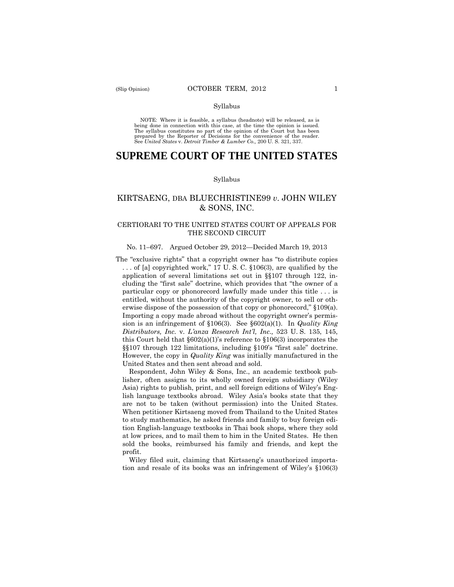NOTE: Where it is feasible, a syllabus (headnote) will be released, as is being done in connection with this case, at the time the opinion is issued. The syllabus constitutes no part of the opinion of the Court but has been<br>prepared by the Reporter of Decisions for the convenience of the reader.<br>See United States v. Detroit Timber & Lumber Co., 200 U.S. 321, 337.

# **SUPREME COURT OF THE UNITED STATES**

#### Syllabus

# KIRTSAENG, DBA BLUECHRISTINE99 *v*. JOHN WILEY & SONS, INC.

# CERTIORARI TO THE UNITED STATES COURT OF APPEALS FOR THE SECOND CIRCUIT

#### No. 11–697. Argued October 29, 2012—Decided March 19, 2013

 erwise dispose of the possession of that copy or phonorecord," §109(a). The "exclusive rights" that a copyright owner has "to distribute copies . . . of [a] copyrighted work," 17 U. S. C. §106(3), are qualified by the application of several limitations set out in §§107 through 122, including the "first sale" doctrine, which provides that "the owner of a particular copy or phonorecord lawfully made under this title . . . is entitled, without the authority of the copyright owner, to sell or oth-Importing a copy made abroad without the copyright owner's permission is an infringement of §106(3). See §602(a)(1). In *Quality King Distributors, Inc.* v. *L'anza Research Int'l, Inc.,* 523 U. S. 135, 145, this Court held that  $\S 602(a)(1)$ 's reference to  $\S 106(3)$  incorporates the §§107 through 122 limitations, including §109's "first sale" doctrine. However, the copy in *Quality King* was initially manufactured in the United States and then sent abroad and sold.

 at low prices, and to mail them to him in the United States. He then Respondent, John Wiley & Sons, Inc., an academic textbook publisher, often assigns to its wholly owned foreign subsidiary (Wiley Asia) rights to publish, print, and sell foreign editions of Wiley's English language textbooks abroad. Wiley Asia's books state that they are not to be taken (without permission) into the United States. When petitioner Kirtsaeng moved from Thailand to the United States to study mathematics, he asked friends and family to buy foreign edition English-language textbooks in Thai book shops, where they sold sold the books, reimbursed his family and friends, and kept the profit.

Wiley filed suit, claiming that Kirtsaeng's unauthorized importation and resale of its books was an infringement of Wiley's §106(3)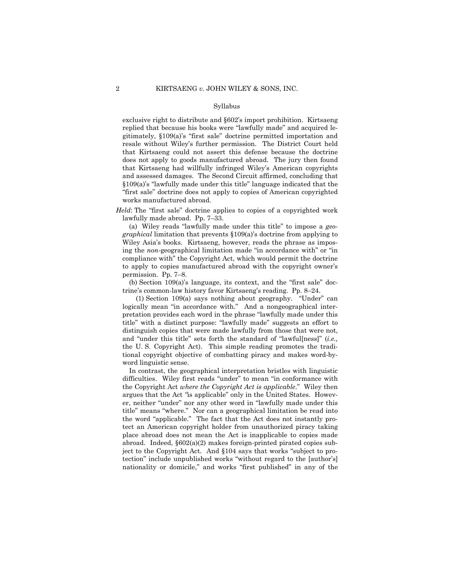exclusive right to distribute and §602's import prohibition. Kirtsaeng replied that because his books were "lawfully made" and acquired legitimately, §109(a)'s "first sale" doctrine permitted importation and resale without Wiley's further permission. The District Court held that Kirtsaeng could not assert this defense because the doctrine does not apply to goods manufactured abroad. The jury then found that Kirtsaeng had willfully infringed Wiley's American copyrights and assessed damages. The Second Circuit affirmed, concluding that §109(a)'s "lawfully made under this title" language indicated that the "first sale" doctrine does not apply to copies of American copyrighted works manufactured abroad.

*Held*: The "first sale" doctrine applies to copies of a copyrighted work lawfully made abroad. Pp. 7–33.

 Wiley Asia's books. Kirtsaeng, however, reads the phrase as impos-(a) Wiley reads "lawfully made under this title" to impose a *geographical* limitation that prevents §109(a)'s doctrine from applying to ing the *non-*geographical limitation made "in accordance with" or "in compliance with" the Copyright Act, which would permit the doctrine to apply to copies manufactured abroad with the copyright owner's permission. Pp. 7–8.

(b) Section 109(a)'s language, its context, and the "first sale" doctrine's common-law history favor Kirtsaeng's reading. Pp. 8–24.

(1) Section 109(a) says nothing about geography. "Under" can logically mean "in accordance with." And a nongeographical interpretation provides each word in the phrase "lawfully made under this title" with a distinct purpose: "lawfully made" suggests an effort to distinguish copies that were made lawfully from those that were not, and "under this title" sets forth the standard of "lawful[ness]" (*i.e.,*  the U. S. Copyright Act). This simple reading promotes the traditional copyright objective of combatting piracy and makes word-byword linguistic sense.

In contrast, the geographical interpretation bristles with linguistic difficulties. Wiley first reads "under" to mean "in conformance with the Copyright Act *where the Copyright Act is applicable*." Wiley then argues that the Act *"*is applicable" only in the United States. However, neither "under" nor any other word in "lawfully made under this title" means "where." Nor can a geographical limitation be read into the word "applicable." The fact that the Act does not instantly protect an American copyright holder from unauthorized piracy taking place abroad does not mean the Act is inapplicable to copies made abroad. Indeed, §602(a)(2) makes foreign-printed pirated copies subject to the Copyright Act. And §104 says that works "subject to protection" include unpublished works "without regard to the [author's] nationality or domicile," and works "first published" in any of the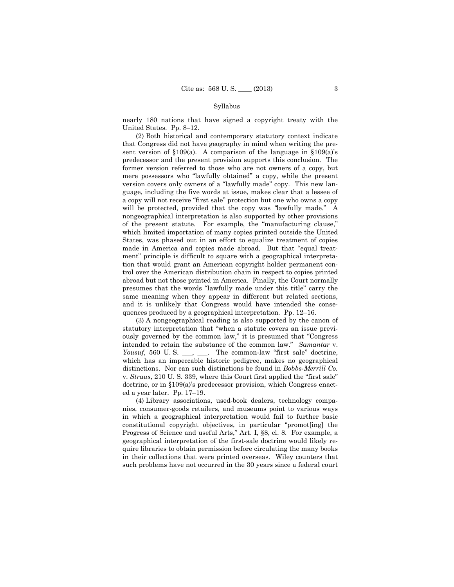nearly 180 nations that have signed a copyright treaty with the United States. Pp. 8–12.

 former version referred to those who are not owners of a copy, but (2) Both historical and contemporary statutory context indicate that Congress did not have geography in mind when writing the present version of  $\S109(a)$ . A comparison of the language in  $\S109(a)$ 's predecessor and the present provision supports this conclusion. The mere possessors who "lawfully obtained" a copy, while the present version covers only owners of a "lawfully made" copy. This new language, including the five words at issue, makes clear that a lessee of a copy will not receive "first sale" protection but one who owns a copy will be protected, provided that the copy was *"*lawfully made." A nongeographical interpretation is also supported by other provisions of the present statute. For example, the "manufacturing clause," which limited importation of many copies printed outside the United States, was phased out in an effort to equalize treatment of copies made in America and copies made abroad. But that "equal treatment" principle is difficult to square with a geographical interpretation that would grant an American copyright holder permanent control over the American distribution chain in respect to copies printed abroad but not those printed in America. Finally, the Court normally presumes that the words "lawfully made under this title" carry the same meaning when they appear in different but related sections, and it is unlikely that Congress would have intended the consequences produced by a geographical interpretation*.* Pp. 12–16.

(3) A nongeographical reading is also supported by the canon of statutory interpretation that "when a statute covers an issue previously governed by the common law," it is presumed that "Congress intended to retain the substance of the common law." *Samantar* v. *Yousuf*, 560 U.S. \_\_, \_\_\_. The common-law "first sale" doctrine, which has an impeccable historic pedigree, makes no geographical distinctions. Nor can such distinctions be found in *Bobbs-Merrill Co.*  v. *Straus*, 210 U. S. 339, where this Court first applied the "first sale" doctrine, or in §109(a)'s predecessor provision, which Congress enacted a year later. Pp. 17–19.

(4) Library associations, used-book dealers, technology companies, consumer-goods retailers, and museums point to various ways in which a geographical interpretation would fail to further basic constitutional copyright objectives, in particular "promot[ing] the Progress of Science and useful Arts," Art. I, §8, cl. 8. For example, a geographical interpretation of the first-sale doctrine would likely require libraries to obtain permission before circulating the many books in their collections that were printed overseas. Wiley counters that such problems have not occurred in the 30 years since a federal court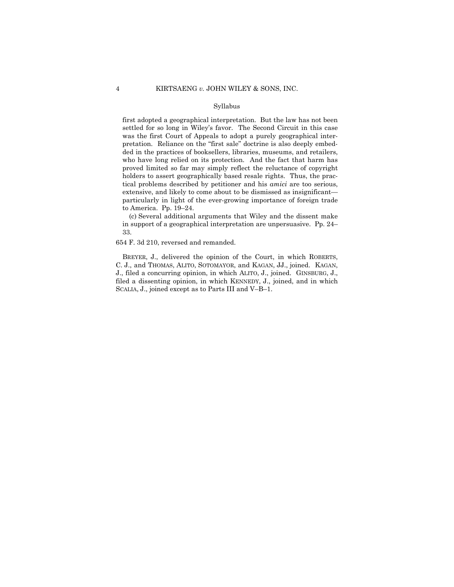first adopted a geographical interpretation. But the law has not been settled for so long in Wiley's favor. The Second Circuit in this case was the first Court of Appeals to adopt a purely geographical interpretation. Reliance on the "first sale" doctrine is also deeply embedded in the practices of booksellers, libraries, museums, and retailers, who have long relied on its protection. And the fact that harm has proved limited so far may simply reflect the reluctance of copyright holders to assert geographically based resale rights. Thus, the practical problems described by petitioner and his *amici* are too serious, extensive, and likely to come about to be dismissed as insignificant particularly in light of the ever-growing importance of foreign trade to America. Pp. 19–24.

(c) Several additional arguments that Wiley and the dissent make in support of a geographical interpretation are unpersuasive. Pp. 24– 33.

654 F. 3d 210, reversed and remanded.

 C. J., and THOMAS, ALITO, SOTOMAYOR, and KAGAN, JJ., joined. KAGAN, BREYER, J., delivered the opinion of the Court, in which ROBERTS, J., filed a concurring opinion, in which ALITO, J., joined. GINSBURG, J., filed a dissenting opinion, in which KENNEDY, J., joined, and in which SCALIA, J., joined except as to Parts III and V–B–1.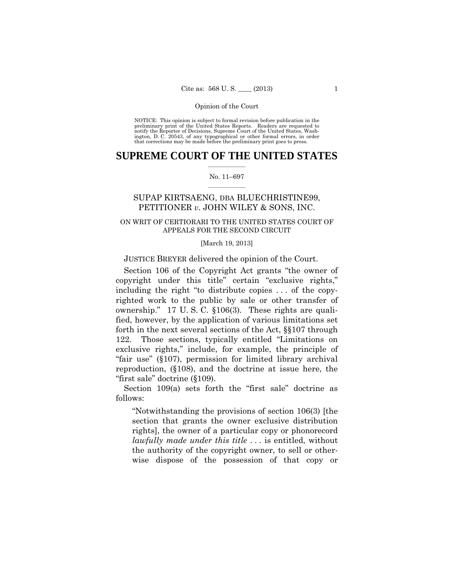preliminary print of the United States Reports. Readers are requested to notify the Reporter of Decisions, Supreme Court of the United States, Wash- ington, D. C. 20543, of any typographical or other formal errors, in order that corrections may be made before the preliminary print goes to press. NOTICE: This opinion is subject to formal revision before publication in the

# $\frac{1}{2}$  , where  $\frac{1}{2}$ **SUPREME COURT OF THE UNITED STATES**

#### $\frac{1}{2}$  ,  $\frac{1}{2}$  ,  $\frac{1}{2}$  ,  $\frac{1}{2}$  ,  $\frac{1}{2}$  ,  $\frac{1}{2}$ No. 11–697

# SUPAP KIRTSAENG, DBA BLUECHRISTINE99, PETITIONER *v.* JOHN WILEY & SONS, INC.

# ON WRIT OF CERTIORARI TO THE UNITED STATES COURT OF APPEALS FOR THE SECOND CIRCUIT

#### [March 19, 2013]

# JUSTICE BREYER delivered the opinion of the Court.

Section 106 of the Copyright Act grants "the owner of copyright under this title" certain "exclusive rights," including the right "to distribute copies . . . of the copyrighted work to the public by sale or other transfer of ownership." 17 U. S. C. §106(3). These rights are qualified, however, by the application of various limitations set forth in the next several sections of the Act, §§107 through 122. Those sections, typically entitled "Limitations on exclusive rights," include, for example, the principle of "fair use" (§107), permission for limited library archival reproduction, (§108), and the doctrine at issue here, the "first sale" doctrine (§109).

Section 109(a) sets forth the "first sale" doctrine as follows:

"Notwithstanding the provisions of section 106(3) [the section that grants the owner exclusive distribution rights], the owner of a particular copy or phonorecord *lawfully made under this title* . . . is entitled, without the authority of the copyright owner, to sell or otherwise dispose of the possession of that copy or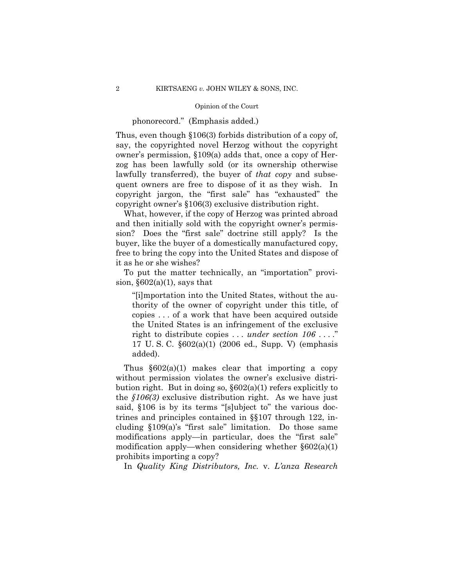# phonorecord." (Emphasis added.)

Thus, even though §106(3) forbids distribution of a copy of, say, the copyrighted novel Herzog without the copyright owner's permission, §109(a) adds that, once a copy of Herzog has been lawfully sold (or its ownership otherwise lawfully transferred), the buyer of *that copy* and subsequent owners are free to dispose of it as they wish. In copyright jargon, the "first sale" has "exhausted" the copyright owner's §106(3) exclusive distribution right.

What, however, if the copy of Herzog was printed abroad and then initially sold with the copyright owner's permission? Does the "first sale" doctrine still apply? Is the buyer, like the buyer of a domestically manufactured copy, free to bring the copy into the United States and dispose of it as he or she wishes?

To put the matter technically, an "importation" provision,  $§602(a)(1)$ , says that

"[i]mportation into the United States, without the authority of the owner of copyright under this title*,* of copies . . . of a work that have been acquired outside the United States is an infringement of the exclusive right to distribute copies . . . *under section 106* . . . ." 17 U. S. C. §602(a)(1) (2006 ed., Supp. V) (emphasis added).

Thus  $\S 602(a)(1)$  makes clear that importing a copy without permission violates the owner's exclusive distribution right. But in doing so,  $\S602(a)(1)$  refers explicitly to the *§106(3)* exclusive distribution right. As we have just said, §106 is by its terms "[s]ubject to" the various doctrines and principles contained in §§107 through 122, including §109(a)'s "first sale" limitation. Do those same modifications apply—in particular, does the "first sale" modification apply—when considering whether  $\S 602(a)(1)$ prohibits importing a copy?

In *Quality King Distributors, Inc.* v. *L'anza Research*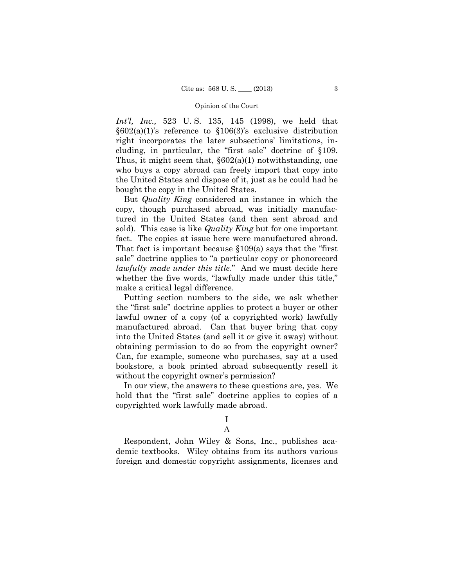*Int'l, Inc.,* 523 U. S. 135, 145 (1998), we held that  $§602(a)(1)'s$  reference to  $§106(3)'s$  exclusive distribution right incorporates the later subsections' limitations, including, in particular, the "first sale" doctrine of §109. Thus, it might seem that,  $\S602(a)(1)$  notwithstanding, one who buys a copy abroad can freely import that copy into the United States and dispose of it, just as he could had he bought the copy in the United States.

But *Quality King* considered an instance in which the copy, though purchased abroad, was initially manufactured in the United States (and then sent abroad and sold). This case is like *Quality King* but for one important fact. The copies at issue here were manufactured abroad. That fact is important because §109(a) says that the "first sale" doctrine applies to "a particular copy or phonorecord *lawfully made under this title*." And we must decide here whether the five words, "lawfully made under this title," make a critical legal difference.

Putting section numbers to the side, we ask whether the "first sale" doctrine applies to protect a buyer or other lawful owner of a copy (of a copyrighted work) lawfully manufactured abroad. Can that buyer bring that copy into the United States (and sell it or give it away) without obtaining permission to do so from the copyright owner? Can, for example, someone who purchases, say at a used bookstore, a book printed abroad subsequently resell it without the copyright owner's permission?

In our view, the answers to these questions are, yes. We hold that the "first sale" doctrine applies to copies of a copyrighted work lawfully made abroad.

Respondent, John Wiley & Sons, Inc., publishes academic textbooks. Wiley obtains from its authors various foreign and domestic copyright assignments, licenses and

I

A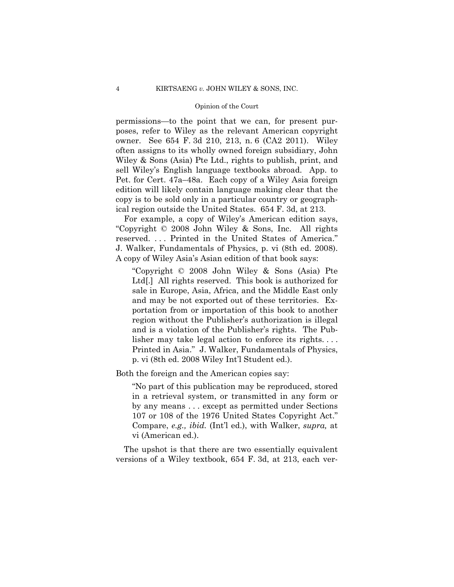permissions—to the point that we can, for present purposes, refer to Wiley as the relevant American copyright owner. See 654 F. 3d 210, 213, n. 6 (CA2 2011). Wiley often assigns to its wholly owned foreign subsidiary, John Wiley & Sons (Asia) Pte Ltd., rights to publish, print, and sell Wiley's English language textbooks abroad. App. to Pet. for Cert. 47a–48a. Each copy of a Wiley Asia foreign edition will likely contain language making clear that the copy is to be sold only in a particular country or geographical region outside the United States. 654 F. 3d, at 213.

For example, a copy of Wiley's American edition says, "Copyright © 2008 John Wiley & Sons, Inc. All rights reserved. . . . Printed in the United States of America." J. Walker, Fundamentals of Physics, p. vi (8th ed. 2008). A copy of Wiley Asia's Asian edition of that book says:

"Copyright © 2008 John Wiley & Sons (Asia) Pte Ltd[.] All rights reserved. This book is authorized for sale in Europe, Asia, Africa, and the Middle East only and may be not exported out of these territories. Exportation from or importation of this book to another region without the Publisher's authorization is illegal and is a violation of the Publisher's rights. The Publisher may take legal action to enforce its rights.... Printed in Asia." J. Walker, Fundamentals of Physics, p. vi (8th ed. 2008 Wiley Int'l Student ed.).

Both the foreign and the American copies say:

"No part of this publication may be reproduced, stored in a retrieval system, or transmitted in any form or by any means . . . except as permitted under Sections 107 or 108 of the 1976 United States Copyright Act." Compare, *e.g., ibid.* (Int'l ed.), with Walker, *supra,* at vi (American ed.).

The upshot is that there are two essentially equivalent versions of a Wiley textbook, 654 F. 3d, at 213, each ver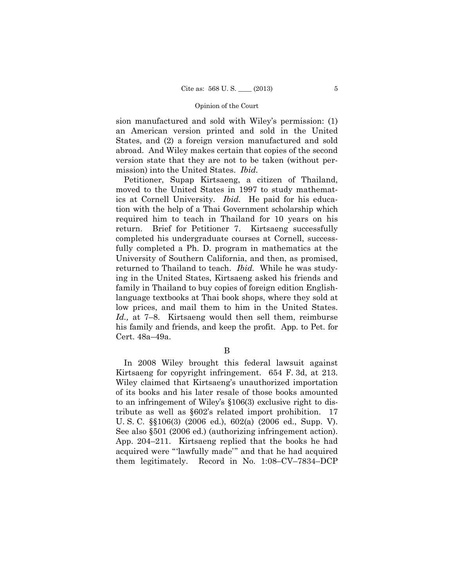sion manufactured and sold with Wiley's permission: (1) an American version printed and sold in the United States, and (2) a foreign version manufactured and sold abroad. And Wiley makes certain that copies of the second version state that they are not to be taken (without permission) into the United States. *Ibid.* 

Petitioner, Supap Kirtsaeng, a citizen of Thailand, moved to the United States in 1997 to study mathematics at Cornell University. *Ibid.* He paid for his education with the help of a Thai Government scholarship which required him to teach in Thailand for 10 years on his return. Brief for Petitioner 7. Kirtsaeng successfully completed his undergraduate courses at Cornell, successfully completed a Ph. D. program in mathematics at the University of Southern California, and then, as promised, returned to Thailand to teach. *Ibid.* While he was studying in the United States, Kirtsaeng asked his friends and family in Thailand to buy copies of foreign edition Englishlanguage textbooks at Thai book shops, where they sold at low prices, and mail them to him in the United States. *Id.,* at 7–8. Kirtsaeng would then sell them, reimburse his family and friends, and keep the profit. App. to Pet. for Cert. 48a–49a.

B

In 2008 Wiley brought this federal lawsuit against Kirtsaeng for copyright infringement. 654 F. 3d, at 213. Wiley claimed that Kirtsaeng's unauthorized importation of its books and his later resale of those books amounted to an infringement of Wiley's §106(3) exclusive right to distribute as well as §602's related import prohibition. 17 U. S. C. §§106(3) (2006 ed.), 602(a) (2006 ed., Supp. V). See also §501 (2006 ed.) (authorizing infringement action). App. 204–211. Kirtsaeng replied that the books he had acquired were "'lawfully made'" and that he had acquired them legitimately. Record in No. 1:08–CV–7834–DCP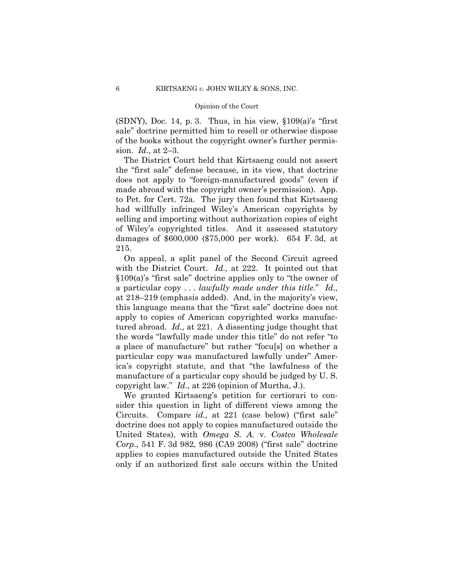$(SDNY)$ , Doc. 14, p. 3. Thus, in his view,  $$109(a)$ 's "first" sale" doctrine permitted him to resell or otherwise dispose of the books without the copyright owner's further permission. *Id.*, at 2–3.

The District Court held that Kirtsaeng could not assert the "first sale" defense because, in its view, that doctrine does not apply to "foreign-manufactured goods" (even if made abroad with the copyright owner's permission). App. to Pet. for Cert. 72a. The jury then found that Kirtsaeng had willfully infringed Wiley's American copyrights by selling and importing without authorization copies of eight of Wiley's copyrighted titles. And it assessed statutory damages of \$600,000 (\$75,000 per work). 654 F. 3d, at 215.

 with the District Court. *Id.,* at 222. It pointed out that On appeal, a split panel of the Second Circuit agreed §109(a)'s "first sale" doctrine applies only to "the owner of a particular copy . . . *lawfully made under this title.*" *Id.,*  at 218–219 (emphasis added). And, in the majority's view, this language means that the "first sale" doctrine does not apply to copies of American copyrighted works manufactured abroad. *Id.,* at 221. A dissenting judge thought that the words "lawfully made under this title" do not refer "to a place of manufacture" but rather "focu[s] on whether a particular copy was manufactured lawfully under" America's copyright statute, and that "the lawfulness of the manufacture of a particular copy should be judged by U. S. copyright law." *Id.*, at 226 (opinion of Murtha, J.).

We granted Kirtsaeng's petition for certiorari to consider this question in light of different views among the Circuits. Compare *id.,* at 221 (case below) ("first sale" doctrine does not apply to copies manufactured outside the United States), with *Omega S. A.* v. *Costco Wholesale Corp.*, 541 F. 3d 982, 986 (CA9 2008) ("first sale" doctrine applies to copies manufactured outside the United States only if an authorized first sale occurs within the United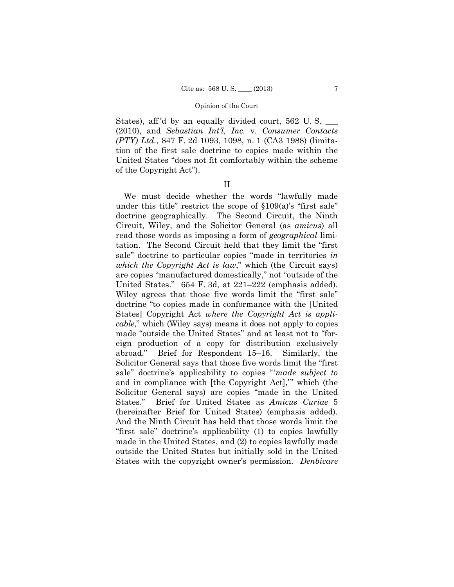States), aff'd by an equally divided court, 562 U.S. (2010), and *Sebastian Int'l, Inc.* v. *Consumer Contacts (PTY) Ltd.*, 847 F. 2d 1093, 1098, n. 1 (CA3 1988) (limitation of the first sale doctrine to copies made within the United States "does not fit comfortably within the scheme of the Copyright Act").

# II

We must decide whether the words "lawfully made under this title" restrict the scope of §109(a)'s "first sale" doctrine geographically. The Second Circuit, the Ninth Circuit, Wiley, and the Solicitor General (as *amicus*) all read those words as imposing a form of *geographical* limitation. The Second Circuit held that they limit the "first sale" doctrine to particular copies "made in territories *in which the Copyright Act is law*," which (the Circuit says) are copies "manufactured domestically," not "outside of the United States." 654 F. 3d, at 221–222 (emphasis added). Wiley agrees that those five words limit the "first sale" doctrine "to copies made in conformance with the [United States] Copyright Act *where the Copyright Act is applicable*," which (Wiley says) means it does not apply to copies made "outside the United States" and at least not to "foreign production of a copy for distribution exclusively abroad." Brief for Respondent 15–16. Similarly, the Solicitor General says that those five words limit the "first sale" doctrine's applicability to copies "'*made subject to* and in compliance with [the Copyright Act],'" which (the Solicitor General says) are copies "made in the United States." Brief for United States as *Amicus Curiae* 5 (hereinafter Brief for United States) (emphasis added). And the Ninth Circuit has held that those words limit the "first sale" doctrine's applicability (1) to copies lawfully made in the United States, and (2) to copies lawfully made outside the United States but initially sold in the United States with the copyright owner's permission. *Denbicare*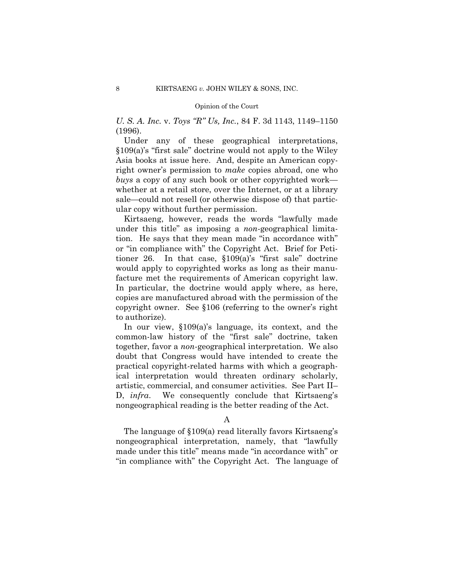*U. S. A. Inc.* v. *Toys "R" Us, Inc.*, 84 F. 3d 1143, 1149–1150 (1996).

Under any of these geographical interpretations, §109(a)'s "first sale" doctrine would not apply to the Wiley Asia books at issue here. And, despite an American copyright owner's permission to *make* copies abroad, one who *buys* a copy of any such book or other copyrighted work whether at a retail store, over the Internet, or at a library sale—could not resell (or otherwise dispose of) that particular copy without further permission.

Kirtsaeng, however, reads the words "lawfully made under this title" as imposing a *non-*geographical limitation. He says that they mean made "in accordance with" or "in compliance with" the Copyright Act. Brief for Petitioner 26. In that case, §109(a)'s "first sale" doctrine would apply to copyrighted works as long as their manufacture met the requirements of American copyright law. In particular, the doctrine would apply where, as here, copies are manufactured abroad with the permission of the copyright owner. See §106 (referring to the owner's right to authorize).

In our view, §109(a)'s language, its context, and the common-law history of the "first sale" doctrine, taken together, favor a *non*-geographical interpretation. We also doubt that Congress would have intended to create the practical copyright-related harms with which a geographical interpretation would threaten ordinary scholarly, artistic, commercial, and consumer activities. See Part II– D, *infra*. We consequently conclude that Kirtsaeng's nongeographical reading is the better reading of the Act.

The language of §109(a) read literally favors Kirtsaeng's nongeographical interpretation, namely, that "lawfully made under this title" means made "in accordance with" or "in compliance with" the Copyright Act. The language of

A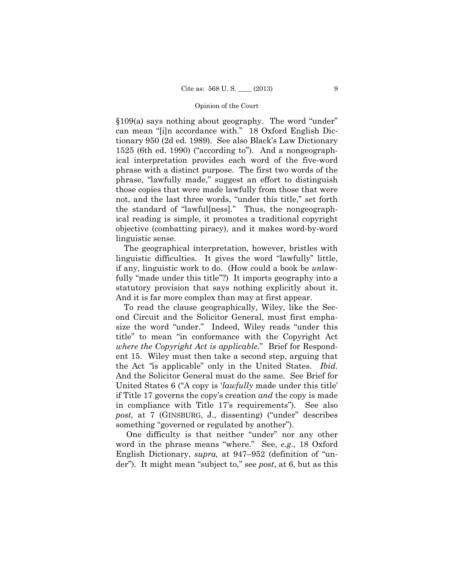§109(a) says nothing about geography. The word "under" can mean "[i]n accordance with." 18 Oxford English Dictionary 950 (2d ed. 1989). See also Black's Law Dictionary 1525 (6th ed. 1990) ("according to"). And a nongeographical interpretation provides each word of the five-word phrase with a distinct purpose. The first two words of the phrase, "lawfully made," suggest an effort to distinguish those copies that were made lawfully from those that were not, and the last three words, "under this title," set forth the standard of "lawful[ness]." Thus, the nongeographical reading is simple, it promotes a traditional copyright objective (combatting piracy), and it makes word-by-word linguistic sense.

The geographical interpretation, however, bristles with linguistic difficulties. It gives the word "lawfully" little, if any, linguistic work to do. (How could a book be *un*lawfully "made under this title"?) It imports geography into a statutory provision that says nothing explicitly about it. And it is far more complex than may at first appear.

To read the clause geographically, Wiley, like the Second Circuit and the Solicitor General, must first emphasize the word "under." Indeed, Wiley reads "under this title" to mean "in conformance with the Copyright Act *where the Copyright Act is applicable*." Brief for Respondent 15. Wiley must then take a second step, arguing that the Act *"*is applicable" only in the United States. *Ibid.* And the Solicitor General must do the same. See Brief for United States 6 ("A copy is '*lawfully* made under this title' if Title 17 governs the copy's creation *and* the copy is made in compliance with Title 17's requirements"). See also *post,* at 7 (GINSBURG, J., dissenting) ("under" describes something "governed or regulated by another").

One difficulty is that neither "under" nor any other word in the phrase means "where." See, *e.g.*, 18 Oxford English Dictionary, *supra,* at 947–952 (definition of "under"). It might mean "subject to," see *post*, at 6, but as this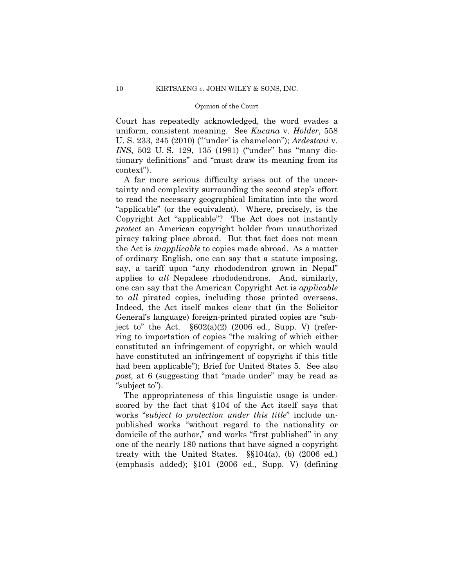Court has repeatedly acknowledged, the word evades a uniform, consistent meaning. See *Kucana* v. *Holder*, 558 U. S. 233, 245 (2010) ("'under' is chameleon"); *Ardestani* v. *INS*, 502 U. S. 129, 135 (1991) ("under" has "many dictionary definitions" and "must draw its meaning from its context").

A far more serious difficulty arises out of the uncertainty and complexity surrounding the second step's effort to read the necessary geographical limitation into the word "applicable" (or the equivalent). Where, precisely, is the Copyright Act "applicable"? The Act does not instantly *protect* an American copyright holder from unauthorized piracy taking place abroad. But that fact does not mean the Act is *inapplicable* to copies made abroad. As a matter of ordinary English, one can say that a statute imposing, say, a tariff upon "any rhododendron grown in Nepal" applies to *all* Nepalese rhododendrons. And, similarly, one can say that the American Copyright Act is *applicable*  to *all* pirated copies, including those printed overseas. Indeed, the Act itself makes clear that (in the Solicitor General's language) foreign-printed pirated copies are "subject to" the Act.  $\S602(a)(2)$  (2006 ed., Supp. V) (referring to importation of copies "the making of which either constituted an infringement of copyright, or which would have constituted an infringement of copyright if this title had been applicable"); Brief for United States 5. See also *post,* at 6 (suggesting that "made under" may be read as "subject to").

The appropriateness of this linguistic usage is underscored by the fact that §104 of the Act itself says that works "*subject to protection under this title*" include unpublished works "without regard to the nationality or domicile of the author," and works "first published" in any one of the nearly 180 nations that have signed a copyright treaty with the United States. §§104(a), (b) (2006 ed.) (emphasis added); §101 (2006 ed., Supp. V) (defining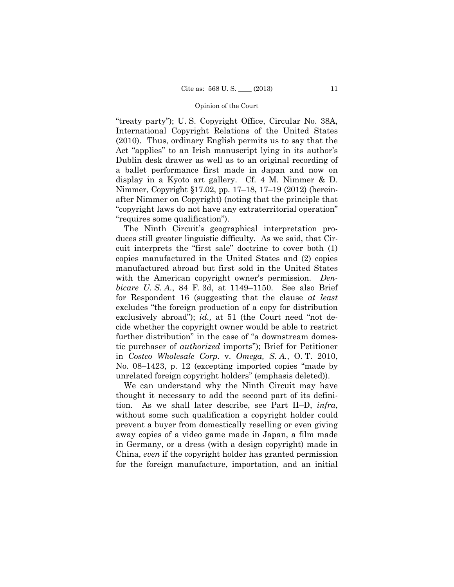"treaty party"); U. S. Copyright Office, Circular No. 38A, International Copyright Relations of the United States (2010). Thus, ordinary English permits us to say that the Act "applies" to an Irish manuscript lying in its author's Dublin desk drawer as well as to an original recording of a ballet performance first made in Japan and now on display in a Kyoto art gallery. Cf. 4 M. Nimmer & D. Nimmer, Copyright §17.02, pp. 17–18, 17–19 (2012) (hereinafter Nimmer on Copyright) (noting that the principle that "copyright laws do not have any extraterritorial operation" "requires some qualification").

The Ninth Circuit's geographical interpretation produces still greater linguistic difficulty. As we said, that Circuit interprets the "first sale" doctrine to cover both (1) copies manufactured in the United States and (2) copies manufactured abroad but first sold in the United States with the American copyright owner's permission. *Denbicare U. S. A.*, 84 F. 3d, at 1149–1150. See also Brief for Respondent 16 (suggesting that the clause *at least*  excludes "the foreign production of a copy for distribution exclusively abroad"); *id.*, at 51 (the Court need "not decide whether the copyright owner would be able to restrict further distribution" in the case of "a downstream domestic purchaser of *authorized* imports"); Brief for Petitioner in *Costco Wholesale Corp.* v. *Omega, S. A.*, O. T. 2010, No. 08–1423, p. 12 (excepting imported copies "made by unrelated foreign copyright holders" (emphasis deleted)).

We can understand why the Ninth Circuit may have thought it necessary to add the second part of its definition. As we shall later describe, see Part II–D, *infra*, without some such qualification a copyright holder could prevent a buyer from domestically reselling or even giving away copies of a video game made in Japan, a film made in Germany, or a dress (with a design copyright) made in China, *even* if the copyright holder has granted permission for the foreign manufacture, importation, and an initial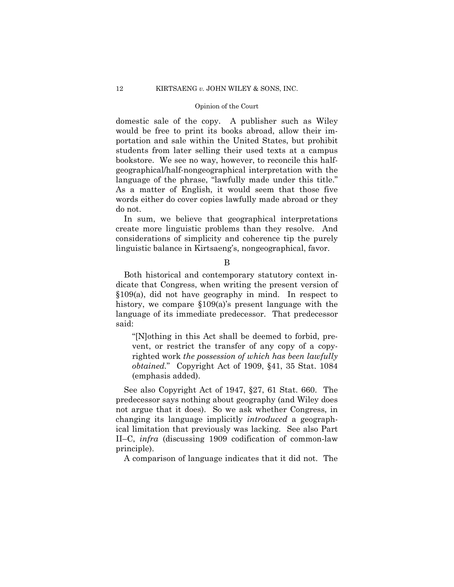domestic sale of the copy. A publisher such as Wiley would be free to print its books abroad, allow their importation and sale within the United States, but prohibit students from later selling their used texts at a campus bookstore. We see no way, however, to reconcile this halfgeographical/half-nongeographical interpretation with the language of the phrase, "lawfully made under this title." As a matter of English, it would seem that those five words either do cover copies lawfully made abroad or they do not.

In sum, we believe that geographical interpretations create more linguistic problems than they resolve. And considerations of simplicity and coherence tip the purely linguistic balance in Kirtsaeng's, nongeographical, favor.

B

Both historical and contemporary statutory context indicate that Congress, when writing the present version of §109(a), did not have geography in mind. In respect to history, we compare §109(a)'s present language with the language of its immediate predecessor. That predecessor said:

"[N]othing in this Act shall be deemed to forbid, prevent, or restrict the transfer of any copy of a copyrighted work *the possession of which has been lawfully obtained.*" Copyright Act of 1909, §41, 35 Stat. 1084 (emphasis added).

See also Copyright Act of 1947, §27, 61 Stat. 660. The predecessor says nothing about geography (and Wiley does not argue that it does). So we ask whether Congress, in changing its language implicitly *introduced* a geographical limitation that previously was lacking. See also Part II–C, *infra* (discussing 1909 codification of common-law principle).

A comparison of language indicates that it did not. The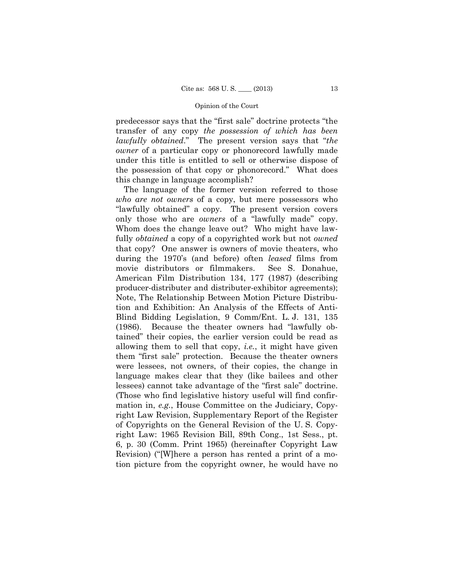predecessor says that the "first sale" doctrine protects "the transfer of any copy *the possession of which has been lawfully obtained*." The present version says that "*the owner* of a particular copy or phonorecord lawfully made under this title is entitled to sell or otherwise dispose of the possession of that copy or phonorecord." What does this change in language accomplish?

The language of the former version referred to those *who are not owners* of a copy, but mere possessors who "lawfully obtained" a copy. The present version covers only those who are *owners* of a "lawfully made" copy. Whom does the change leave out? Who might have lawfully *obtained* a copy of a copyrighted work but not *owned*  that copy? One answer is owners of movie theaters, who during the 1970's (and before) often *leased* films from movie distributors or filmmakers. See S. Donahue, American Film Distribution 134, 177 (1987) (describing producer-distributer and distributer-exhibitor agreements); Note, The Relationship Between Motion Picture Distribution and Exhibition: An Analysis of the Effects of Anti-Blind Bidding Legislation, 9 Comm/Ent. L. J. 131, 135 (1986). Because the theater owners had "lawfully obtained" their copies, the earlier version could be read as allowing them to sell that copy, *i.e.*, it might have given them "first sale" protection. Because the theater owners were lessees, not owners, of their copies, the change in language makes clear that they (like bailees and other lessees) cannot take advantage of the "first sale" doctrine. (Those who find legislative history useful will find confirmation in, *e.g.*, House Committee on the Judiciary, Copyright Law Revision, Supplementary Report of the Register of Copyrights on the General Revision of the U. S. Copyright Law: 1965 Revision Bill, 89th Cong., 1st Sess., pt. 6, p. 30 (Comm. Print 1965) (hereinafter Copyright Law Revision) ("[W]here a person has rented a print of a motion picture from the copyright owner, he would have no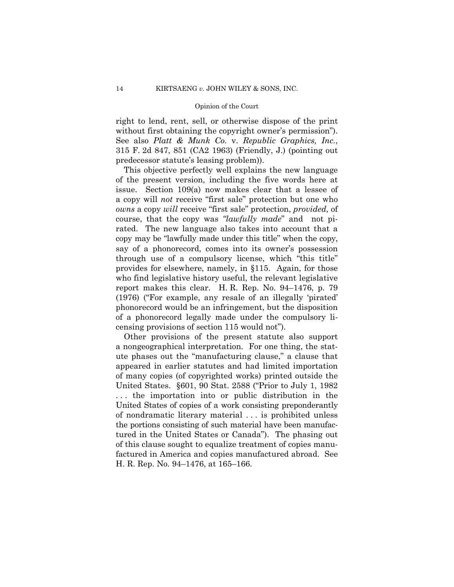right to lend, rent, sell, or otherwise dispose of the print without first obtaining the copyright owner's permission"). See also *Platt & Munk Co.* v. *Republic Graphics, Inc.*, 315 F. 2d 847, 851 (CA2 1963) (Friendly, J.) (pointing out predecessor statute's leasing problem)).

This objective perfectly well explains the new language of the present version, including the five words here at issue. Section 109(a) now makes clear that a lessee of a copy will *not* receive "first sale" protection but one who *owns* a copy *will* receive "first sale" protection, *provided,* of course, that the copy was *"lawfully made*" and not pirated. The new language also takes into account that a copy may be "lawfully made under this title" when the copy, say of a phonorecord, comes into its owner's possession through use of a compulsory license, which "this title" provides for elsewhere, namely, in §115. Again, for those who find legislative history useful, the relevant legislative report makes this clear. H. R. Rep. No. 94–1476, p. 79 (1976) ("For example, any resale of an illegally 'pirated' phonorecord would be an infringement, but the disposition of a phonorecord legally made under the compulsory licensing provisions of section 115 would not").

Other provisions of the present statute also support a nongeographical interpretation. For one thing, the statute phases out the "manufacturing clause," a clause that appeared in earlier statutes and had limited importation of many copies (of copyrighted works) printed outside the United States. §601, 90 Stat. 2588 ("Prior to July 1, 1982 . . . the importation into or public distribution in the United States of copies of a work consisting preponderantly of nondramatic literary material . . . is prohibited unless the portions consisting of such material have been manufactured in the United States or Canada"). The phasing out of this clause sought to equalize treatment of copies manufactured in America and copies manufactured abroad. See H. R. Rep. No. 94–1476, at 165–166.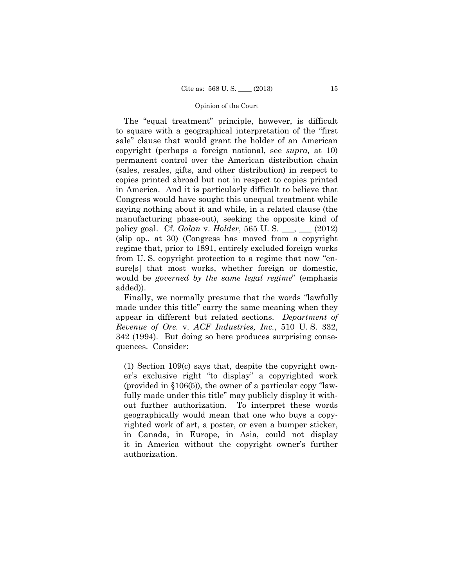The "equal treatment" principle, however, is difficult to square with a geographical interpretation of the "first sale" clause that would grant the holder of an American copyright (perhaps a foreign national, see *supra,* at 10) permanent control over the American distribution chain (sales, resales, gifts, and other distribution) in respect to copies printed abroad but not in respect to copies printed in America. And it is particularly difficult to believe that Congress would have sought this unequal treatment while saying nothing about it and while, in a related clause (the manufacturing phase-out), seeking the opposite kind of policy goal. Cf. *Golan* v. *Holder*, 565 U. S. \_\_\_, \_\_\_ (2012) (slip op., at 30) (Congress has moved from a copyright regime that, prior to 1891, entirely excluded foreign works from U. S. copyright protection to a regime that now "ensure[s] that most works, whether foreign or domestic, would be *governed by the same legal regime*" (emphasis added)).

Finally, we normally presume that the words "lawfully made under this title" carry the same meaning when they appear in different but related sections. *Department of Revenue of Ore.* v. *ACF Industries, Inc.*, 510 U. S. 332, 342 (1994). But doing so here produces surprising consequences. Consider:

(1) Section 109(c) says that, despite the copyright owner's exclusive right "to display" a copyrighted work (provided in §106(5)), the owner of a particular copy "lawfully made under this title" may publicly display it without further authorization. To interpret these words geographically would mean that one who buys a copyrighted work of art, a poster, or even a bumper sticker, in Canada, in Europe, in Asia, could not display it in America without the copyright owner's further authorization.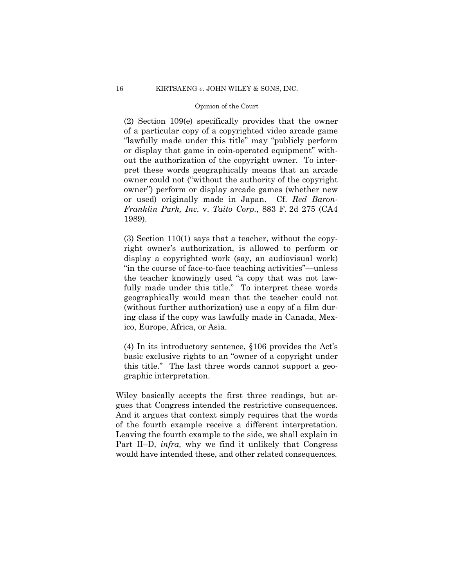(2) Section 109(e) specifically provides that the owner of a particular copy of a copyrighted video arcade game "lawfully made under this title" may "publicly perform or display that game in coin-operated equipment" without the authorization of the copyright owner. To interpret these words geographically means that an arcade owner could not ("without the authority of the copyright owner") perform or display arcade games (whether new or used) originally made in Japan. Cf. *Red Baron-Franklin Park, Inc.* v. *Taito Corp.*, 883 F. 2d 275 (CA4 1989).

(3) Section 110(1) says that a teacher, without the copyright owner's authorization, is allowed to perform or display a copyrighted work (say, an audiovisual work) "in the course of face-to-face teaching activities"—unless the teacher knowingly used "a copy that was not lawfully made under this title." To interpret these words geographically would mean that the teacher could not (without further authorization) use a copy of a film during class if the copy was lawfully made in Canada, Mexico, Europe, Africa, or Asia.

(4) In its introductory sentence, §106 provides the Act's basic exclusive rights to an "owner of a copyright under this title." The last three words cannot support a geographic interpretation.

 of the fourth example receive a different interpretation. would have intended these, and other related consequences*.* Wiley basically accepts the first three readings, but argues that Congress intended the restrictive consequences. And it argues that context simply requires that the words Leaving the fourth example to the side, we shall explain in Part II–D, *infra,* why we find it unlikely that Congress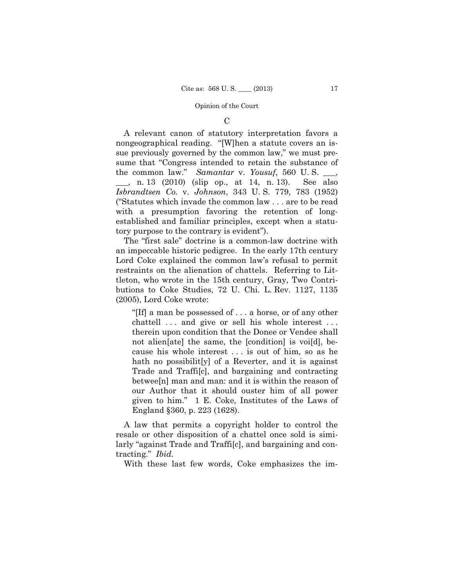#### C

A relevant canon of statutory interpretation favors a nongeographical reading. "[W]hen a statute covers an issue previously governed by the common law," we must presume that "Congress intended to retain the substance of the common law." *Samantar* v. *Yousuf*, 560 U. S. \_\_\_, \_\_\_, n. 13 (2010) (slip op., at 14, n. 13). See also *Isbrandtsen Co.* v. *Johnson*, 343 U. S. 779, 783 (1952) ("Statutes which invade the common law . . . are to be read with a presumption favoring the retention of longestablished and familiar principles, except when a statutory purpose to the contrary is evident").

The "first sale" doctrine is a common-law doctrine with an impeccable historic pedigree. In the early 17th century Lord Coke explained the common law's refusal to permit restraints on the alienation of chattels. Referring to Littleton, who wrote in the 15th century, Gray, Two Contributions to Coke Studies, 72 U. Chi. L. Rev. 1127, 1135 (2005), Lord Coke wrote:

"[If] a man be possessed of . . . a horse, or of any other chattell ... and give or sell his whole interest ... therein upon condition that the Donee or Vendee shall not alien[ate] the same, the [condition] is voi[d], because his whole interest . . . is out of him, so as he hath no possibilit[y] of a Reverter, and it is against Trade and Traffi[c], and bargaining and contracting betwee[n] man and man: and it is within the reason of our Author that it should ouster him of all power given to him." 1 E. Coke, Institutes of the Laws of England §360, p. 223 (1628).

A law that permits a copyright holder to control the resale or other disposition of a chattel once sold is similarly "against Trade and Traffi[c], and bargaining and contracting." *Ibid.* 

With these last few words, Coke emphasizes the im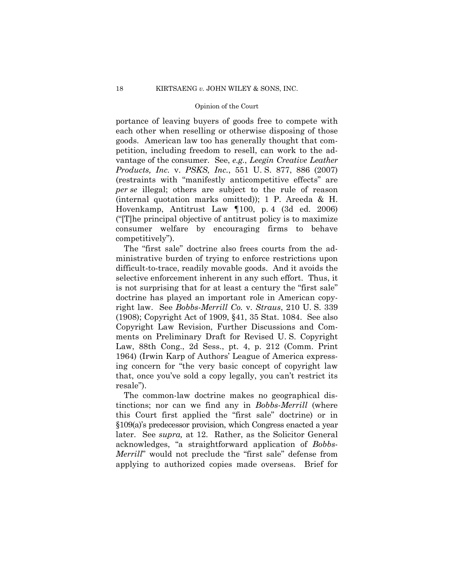portance of leaving buyers of goods free to compete with each other when reselling or otherwise disposing of those goods. American law too has generally thought that competition, including freedom to resell, can work to the advantage of the consumer. See, *e.g.*, *Leegin Creative Leather Products, Inc.* v. *PSKS, Inc.*, 551 U. S. 877, 886 (2007) (restraints with "manifestly anticompetitive effects" are *per se* illegal; others are subject to the rule of reason (internal quotation marks omitted)); 1 P. Areeda & H. Hovenkamp, Antitrust Law ¶100, p. 4 (3d ed. 2006) ("[T]he principal objective of antitrust policy is to maximize consumer welfare by encouraging firms to behave competitively").

The "first sale" doctrine also frees courts from the administrative burden of trying to enforce restrictions upon difficult-to-trace, readily movable goods. And it avoids the selective enforcement inherent in any such effort. Thus, it is not surprising that for at least a century the "first sale" doctrine has played an important role in American copyright law. See *Bobbs-Merrill Co.* v. *Straus*, 210 U. S. 339 (1908); Copyright Act of 1909, §41, 35 Stat. 1084. See also Copyright Law Revision, Further Discussions and Comments on Preliminary Draft for Revised U. S. Copyright Law, 88th Cong., 2d Sess., pt. 4, p. 212 (Comm. Print 1964) (Irwin Karp of Authors' League of America expressing concern for "the very basic concept of copyright law that, once you've sold a copy legally, you can't restrict its resale").

later. See *supra*, at 12. Rather, as the Solicitor General The common-law doctrine makes no geographical distinctions; nor can we find any in *Bobbs-Merrill* (where this Court first applied the "first sale" doctrine) or in §109(a)'s predecessor provision, which Congress enacted a year acknowledges, "a straightforward application of *Bobbs-Merrill*" would not preclude the "first sale" defense from applying to authorized copies made overseas. Brief for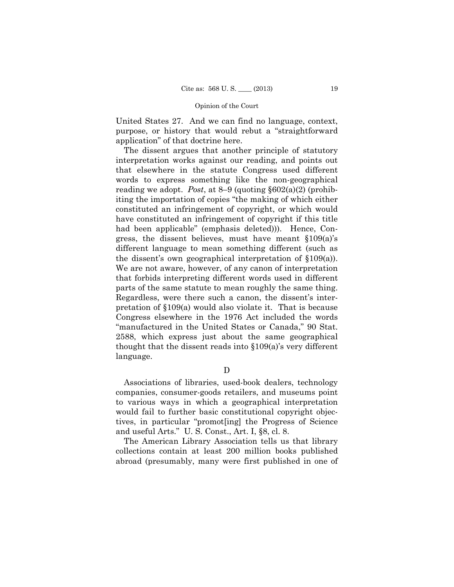United States 27. And we can find no language, context, purpose, or history that would rebut a "straightforward application" of that doctrine here.

 the dissent's own geographical interpretation of §109(a)). The dissent argues that another principle of statutory interpretation works against our reading, and points out that elsewhere in the statute Congress used different words to express something like the non-geographical reading we adopt. *Post*, at 8–9 (quoting §602(a)(2) (prohibiting the importation of copies "the making of which either constituted an infringement of copyright, or which would have constituted an infringement of copyright if this title had been applicable" (emphasis deleted))). Hence, Congress, the dissent believes, must have meant §109(a)'s different language to mean something different (such as We are not aware, however, of any canon of interpretation that forbids interpreting different words used in different parts of the same statute to mean roughly the same thing. Regardless, were there such a canon, the dissent's interpretation of §109(a) would also violate it. That is because Congress elsewhere in the 1976 Act included the words "manufactured in the United States or Canada," 90 Stat. 2588, which express just about the same geographical thought that the dissent reads into §109(a)'s very different language.

D

Associations of libraries, used-book dealers, technology companies, consumer-goods retailers, and museums point to various ways in which a geographical interpretation would fail to further basic constitutional copyright objectives, in particular "promot[ing] the Progress of Science and useful Arts." U. S. Const., Art. I, §8, cl. 8.

The American Library Association tells us that library collections contain at least 200 million books published abroad (presumably, many were first published in one of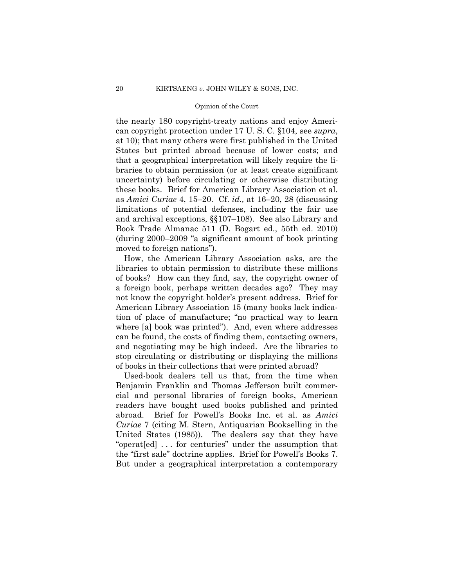the nearly 180 copyright-treaty nations and enjoy American copyright protection under 17 U. S. C. §104, see *supra*, at 10); that many others were first published in the United States but printed abroad because of lower costs; and that a geographical interpretation will likely require the libraries to obtain permission (or at least create significant uncertainty) before circulating or otherwise distributing these books. Brief for American Library Association et al. as *Amici Curiae* 4, 15–20. Cf. *id.,* at 16–20, 28 (discussing limitations of potential defenses, including the fair use and archival exceptions, §§107–108). See also Library and Book Trade Almanac 511 (D. Bogart ed., 55th ed. 2010) (during 2000–2009 "a significant amount of book printing moved to foreign nations").

How, the American Library Association asks, are the libraries to obtain permission to distribute these millions of books? How can they find, say, the copyright owner of a foreign book, perhaps written decades ago? They may not know the copyright holder's present address. Brief for American Library Association 15 (many books lack indication of place of manufacture; "no practical way to learn where [a] book was printed"). And, even where addresses can be found, the costs of finding them, contacting owners, and negotiating may be high indeed. Are the libraries to stop circulating or distributing or displaying the millions of books in their collections that were printed abroad?

the "first sale" doctrine applies. Brief for Powell's Books 7. Used-book dealers tell us that, from the time when Benjamin Franklin and Thomas Jefferson built commercial and personal libraries of foreign books, American readers have bought used books published and printed abroad. Brief for Powell's Books Inc. et al. as *Amici Curiae* 7 (citing M. Stern, Antiquarian Bookselling in the United States (1985)). The dealers say that they have "operat[ed] . . . for centuries" under the assumption that But under a geographical interpretation a contemporary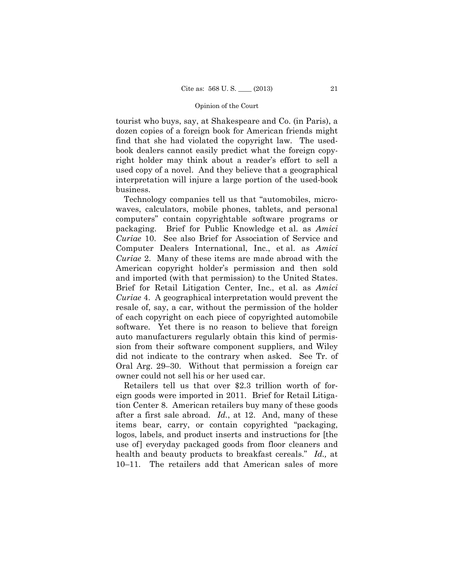tourist who buys, say, at Shakespeare and Co. (in Paris), a dozen copies of a foreign book for American friends might find that she had violated the copyright law. The usedbook dealers cannot easily predict what the foreign copyright holder may think about a reader's effort to sell a used copy of a novel. And they believe that a geographical interpretation will injure a large portion of the used-book business.

Technology companies tell us that "automobiles, microwaves, calculators, mobile phones, tablets, and personal computers" contain copyrightable software programs or packaging. Brief for Public Knowledge et al. as *Amici Curiae* 10. See also Brief for Association of Service and Computer Dealers International, Inc., et al. as *Amici Curiae* 2. Many of these items are made abroad with the American copyright holder's permission and then sold and imported (with that permission) to the United States. Brief for Retail Litigation Center, Inc., et al. as *Amici Curiae* 4. A geographical interpretation would prevent the resale of, say, a car, without the permission of the holder of each copyright on each piece of copyrighted automobile software. Yet there is no reason to believe that foreign auto manufacturers regularly obtain this kind of permission from their software component suppliers, and Wiley did not indicate to the contrary when asked. See Tr. of Oral Arg. 29–30. Without that permission a foreign car owner could not sell his or her used car.

Retailers tell us that over \$2.3 trillion worth of foreign goods were imported in 2011. Brief for Retail Litigation Center 8. American retailers buy many of these goods after a first sale abroad. *Id.*, at 12. And, many of these items bear, carry, or contain copyrighted "packaging, logos, labels, and product inserts and instructions for [the use of] everyday packaged goods from floor cleaners and health and beauty products to breakfast cereals." *Id.,* at 10–11. The retailers add that American sales of more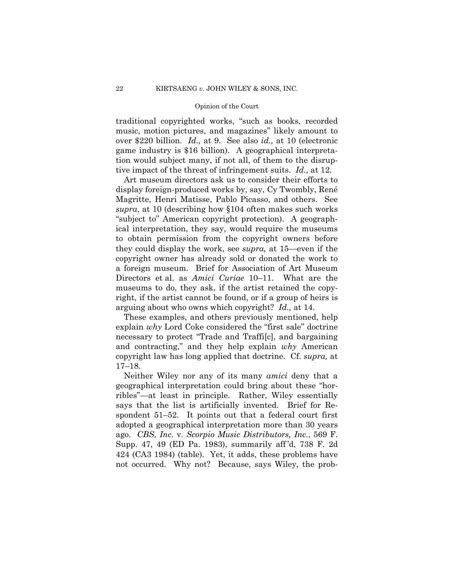over \$220 billion. *Id.,* at 9. See also *id.,* at 10 (electronic traditional copyrighted works, "such as books, recorded music, motion pictures, and magazines" likely amount to game industry is \$16 billion). A geographical interpretation would subject many, if not all, of them to the disruptive impact of the threat of infringement suits. *Id.,* at 12.

Art museum directors ask us to consider their efforts to display foreign-produced works by, say, Cy Twombly, René Magritte, Henri Matisse, Pablo Picasso, and others. See *supra*, at 10 (describing how §104 often makes such works "subject to" American copyright protection). A geographical interpretation, they say, would require the museums to obtain permission from the copyright owners before they could display the work, see *supra,* at 15—even if the copyright owner has already sold or donated the work to a foreign museum. Brief for Association of Art Museum Directors et al. as *Amici Curiae* 10–11. What are the museums to do, they ask, if the artist retained the copyright, if the artist cannot be found, or if a group of heirs is arguing about who owns which copyright? *Id.,* at 14.

These examples, and others previously mentioned, help explain *why* Lord Coke considered the "first sale" doctrine necessary to protect "Trade and Traffi[c], and bargaining and contracting," and they help explain *why* American copyright law has long applied that doctrine. Cf. *supra,* at 17–18*.* 

Neither Wiley nor any of its many *amici* deny that a geographical interpretation could bring about these "horribles"—at least in principle. Rather, Wiley essentially says that the list is artificially invented. Brief for Respondent 51–52. It points out that a federal court first adopted a geographical interpretation more than 30 years ago. *CBS, Inc.* v. *Scorpio Music Distributors, Inc.*, 569 F. Supp. 47, 49 (ED Pa. 1983), summarily aff 'd, 738 F. 2d 424 (CA3 1984) (table). Yet, it adds, these problems have not occurred. Why not? Because, says Wiley, the prob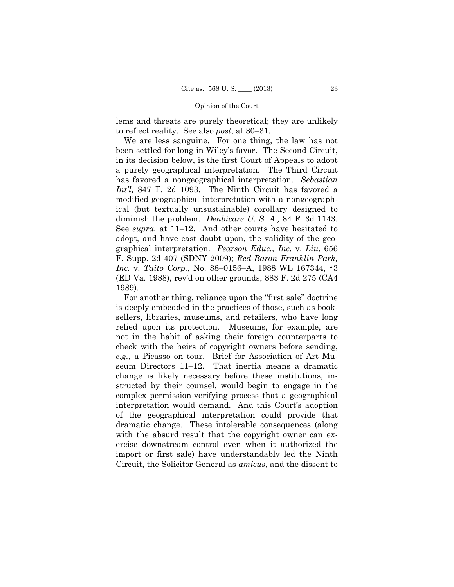lems and threats are purely theoretical; they are unlikely to reflect reality. See also *post*, at 30–31.

We are less sanguine. For one thing, the law has not been settled for long in Wiley's favor. The Second Circuit, in its decision below, is the first Court of Appeals to adopt a purely geographical interpretation. The Third Circuit has favored a nongeographical interpretation. *Sebastian Int'l,* 847 F. 2d 1093. The Ninth Circuit has favored a modified geographical interpretation with a nongeographical (but textually unsustainable) corollary designed to diminish the problem. *Denbicare U. S. A.,* 84 F. 3d 1143. See *supra,* at 11–12. And other courts have hesitated to adopt, and have cast doubt upon, the validity of the geographical interpretation. *Pearson Educ., Inc.* v. *Liu*, 656 F. Supp. 2d 407 (SDNY 2009); *Red-Baron Franklin Park, Inc.* v. *Taito Corp.*, No. 88–0156–A, 1988 WL 167344, \*3 (ED Va. 1988), rev'd on other grounds, 883 F. 2d 275 (CA4 1989).

For another thing, reliance upon the "first sale" doctrine is deeply embedded in the practices of those, such as booksellers, libraries, museums, and retailers, who have long relied upon its protection. Museums, for example, are not in the habit of asking their foreign counterparts to check with the heirs of copyright owners before sending, *e.g.*, a Picasso on tour. Brief for Association of Art Museum Directors 11–12. That inertia means a dramatic change is likely necessary before these institutions, instructed by their counsel, would begin to engage in the complex permission-verifying process that a geographical interpretation would demand. And this Court's adoption of the geographical interpretation could provide that dramatic change. These intolerable consequences (along with the absurd result that the copyright owner can exercise downstream control even when it authorized the import or first sale) have understandably led the Ninth Circuit, the Solicitor General as *amicus*, and the dissent to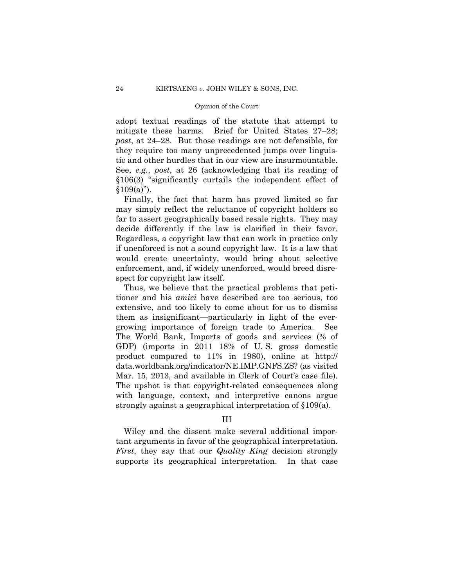adopt textual readings of the statute that attempt to mitigate these harms. Brief for United States 27–28; *post*, at 24–28. But those readings are not defensible, for they require too many unprecedented jumps over linguistic and other hurdles that in our view are insurmountable. See, *e.g.*, *post*, at 26 (acknowledging that its reading of §106(3) "significantly curtails the independent effect of  $§109(a)$ ").

Finally, the fact that harm has proved limited so far may simply reflect the reluctance of copyright holders so far to assert geographically based resale rights. They may decide differently if the law is clarified in their favor. Regardless, a copyright law that can work in practice only if unenforced is not a sound copyright law. It is a law that would create uncertainty, would bring about selective enforcement, and, if widely unenforced, would breed disrespect for copyright law itself.

 Mar. 15, 2013, and available in Clerk of Court's case file). Thus, we believe that the practical problems that petitioner and his *amici* have described are too serious, too extensive, and too likely to come about for us to dismiss them as insignificant—particularly in light of the evergrowing importance of foreign trade to America. See The World Bank, Imports of goods and services (% of GDP) (imports in 2011 18% of U. S. gross domestic product compared to 11% in 1980), online at http:// data.worldbank.org/indicator/NE.IMP.GNFS.ZS? (as visited The upshot is that copyright-related consequences along with language, context, and interpretive canons argue strongly against a geographical interpretation of §109(a).

# III

Wiley and the dissent make several additional important arguments in favor of the geographical interpretation. *First*, they say that our *Quality King* decision strongly supports its geographical interpretation. In that case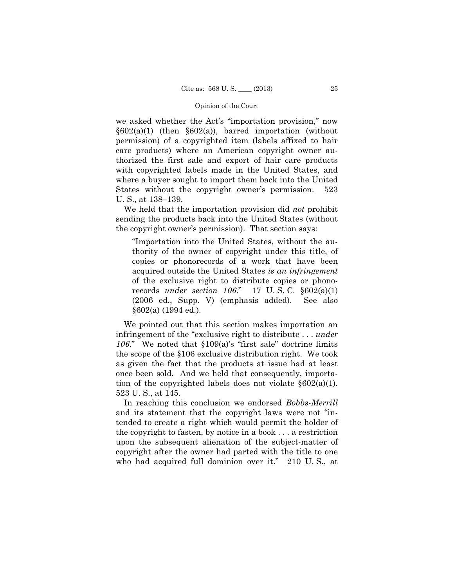States without the copyright owner's permission. 523 we asked whether the Act's "importation provision," now  $§602(a)(1)$  (then  $§602(a)$ ), barred importation (without permission) of a copyrighted item (labels affixed to hair care products) where an American copyright owner authorized the first sale and export of hair care products with copyrighted labels made in the United States, and where a buyer sought to import them back into the United U. S., at 138–139.

We held that the importation provision did *not* prohibit sending the products back into the United States (without the copyright owner's permission). That section says:

"Importation into the United States, without the authority of the owner of copyright under this title, of copies or phonorecords of a work that have been acquired outside the United States *is an infringement* of the exclusive right to distribute copies or phonorecords *under section 106*." 17 U. S. C. §602(a)(1) (2006 ed., Supp. V) (emphasis added). See also §602(a) (1994 ed.).

106." We noted that §109(a)'s "first sale" doctrine limits We pointed out that this section makes importation an infringement of the "exclusive right to distribute . . . *under*  the scope of the §106 exclusive distribution right. We took as given the fact that the products at issue had at least once been sold. And we held that consequently, importation of the copyrighted labels does not violate §602(a)(1). 523 U. S., at 145.

In reaching this conclusion we endorsed *Bobbs-Merrill*  and its statement that the copyright laws were not "intended to create a right which would permit the holder of the copyright to fasten, by notice in a book . . . a restriction upon the subsequent alienation of the subject-matter of copyright after the owner had parted with the title to one who had acquired full dominion over it." 210 U. S., at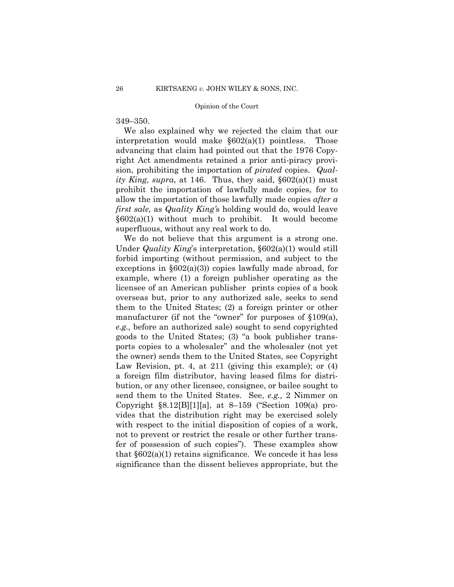# 349–350.

We also explained why we rejected the claim that our interpretation would make  $\S 602(a)(1)$  pointless. Those advancing that claim had pointed out that the 1976 Copyright Act amendments retained a prior anti-piracy provision, prohibiting the importation of *pirated* copies. *Quality King, supra*, at 146. Thus, they said, §602(a)(1) must prohibit the importation of lawfully made copies, for to allow the importation of those lawfully made copies *after a first sale,* as *Quality King'*s holding would do, would leave  $§602(a)(1)$  without much to prohibit. It would become superfluous, without any real work to do.

 We do not believe that this argument is a strong one. Under *Quality King*'s interpretation, §602(a)(1) would still forbid importing (without permission, and subject to the exceptions in §602(a)(3)) copies lawfully made abroad, for example, where (1) a foreign publisher operating as the licensee of an American publisher prints copies of a book overseas but, prior to any authorized sale, seeks to send them to the United States; (2) a foreign printer or other manufacturer (if not the "owner" for purposes of §109(a), *e.g.,* before an authorized sale) sought to send copyrighted goods to the United States; (3) "a book publisher transports copies to a wholesaler" and the wholesaler (not yet the owner) sends them to the United States, see Copyright Law Revision, pt. 4, at 211 (giving this example); or (4) a foreign film distributor, having leased films for distribution, or any other licensee, consignee, or bailee sought to send them to the United States. See, *e.g.,* 2 Nimmer on Copyright  $\S 8.12[B][1][a]$ , at  $8-159$  ("Section 109(a) provides that the distribution right may be exercised solely with respect to the initial disposition of copies of a work, not to prevent or restrict the resale or other further transfer of possession of such copies"). These examples show that  $\S 602(a)(1)$  retains significance. We concede it has less significance than the dissent believes appropriate, but the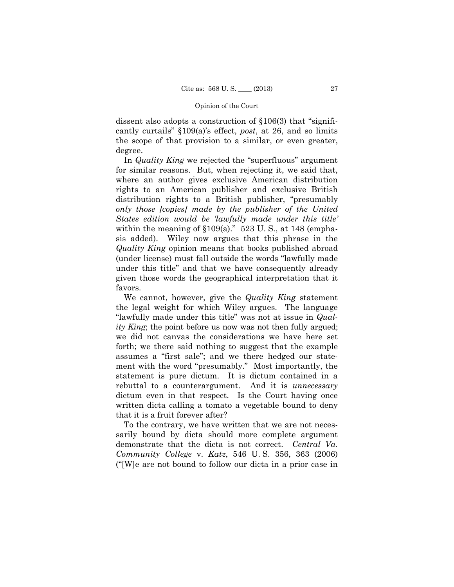dissent also adopts a construction of §106(3) that "significantly curtails" §109(a)'s effect, *post*, at 26, and so limits the scope of that provision to a similar, or even greater, degree.

In *Quality King* we rejected the "superfluous" argument for similar reasons. But, when rejecting it, we said that, where an author gives exclusive American distribution rights to an American publisher and exclusive British distribution rights to a British publisher, "presumably *only those [copies] made by the publisher of the United States edition would be 'lawfully made under this title'*  within the meaning of  $\S109(a)$ ." 523 U.S., at 148 (emphasis added). Wiley now argues that this phrase in the *Quality King* opinion means that books published abroad (under license) must fall outside the words "lawfully made under this title" and that we have consequently already given those words the geographical interpretation that it favors.

We cannot, however, give the *Quality King* statement the legal weight for which Wiley argues. The language "lawfully made under this title" was not at issue in *Quality King*; the point before us now was not then fully argued; we did not canvas the considerations we have here set forth; we there said nothing to suggest that the example assumes a "first sale"; and we there hedged our statement with the word "presumably." Most importantly, the statement is pure dictum. It is dictum contained in a rebuttal to a counterargument. And it is *unnecessary*  dictum even in that respect. Is the Court having once written dicta calling a tomato a vegetable bound to deny that it is a fruit forever after?

To the contrary, we have written that we are not necessarily bound by dicta should more complete argument demonstrate that the dicta is not correct. *Central Va. Community College* v. *Katz*, 546 U. S. 356, 363 (2006) ("[W]e are not bound to follow our dicta in a prior case in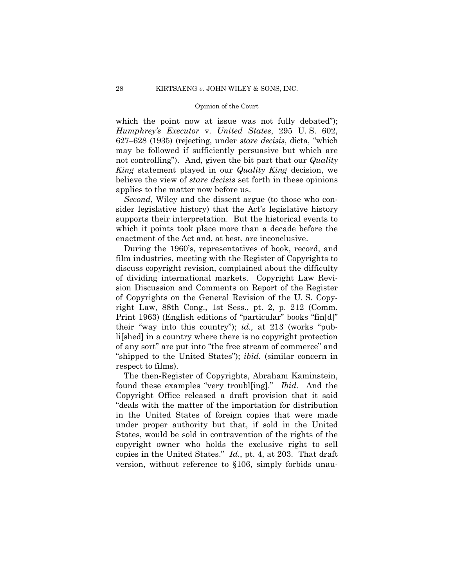which the point now at issue was not fully debated"); *Humphrey's Executor* v. *United States*, 295 U. S. 602, 627–628 (1935) (rejecting, under *stare decisis*, dicta, "which may be followed if sufficiently persuasive but which are not controlling"). And, given the bit part that our *Quality King* statement played in our *Quality King* decision, we believe the view of *stare decisis* set forth in these opinions applies to the matter now before us.

*Second*, Wiley and the dissent argue (to those who consider legislative history) that the Act's legislative history supports their interpretation. But the historical events to which it points took place more than a decade before the enactment of the Act and, at best, are inconclusive.

During the 1960's, representatives of book, record, and film industries, meeting with the Register of Copyrights to discuss copyright revision, complained about the difficulty of dividing international markets. Copyright Law Revision Discussion and Comments on Report of the Register of Copyrights on the General Revision of the U. S. Copyright Law, 88th Cong., 1st Sess., pt. 2, p. 212 (Comm. Print 1963) (English editions of "particular" books "fin[d]" their "way into this country"); *id.,* at 213 (works "publi[shed] in a country where there is no copyright protection of any sort" are put into "the free stream of commerce" and "shipped to the United States"); *ibid.* (similar concern in respect to films).

The then-Register of Copyrights, Abraham Kaminstein, found these examples "very troubl[ing]." *Ibid.* And the Copyright Office released a draft provision that it said "deals with the matter of the importation for distribution in the United States of foreign copies that were made under proper authority but that, if sold in the United States, would be sold in contravention of the rights of the copyright owner who holds the exclusive right to sell copies in the United States." *Id.*, pt. 4, at 203. That draft version, without reference to §106, simply forbids unau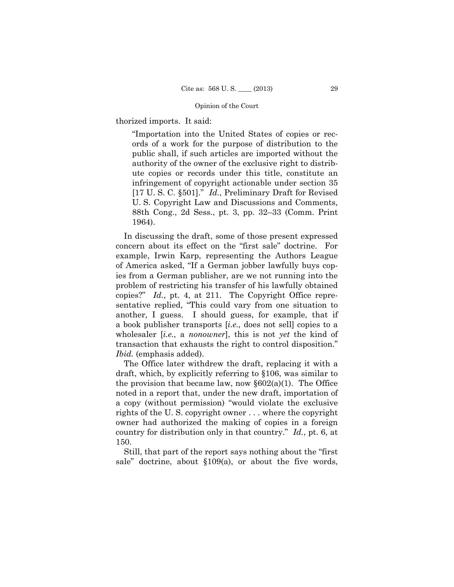thorized imports. It said:

"Importation into the United States of copies or records of a work for the purpose of distribution to the public shall, if such articles are imported without the authority of the owner of the exclusive right to distribute copies or records under this title, constitute an infringement of copyright actionable under section 35 [17 U. S. C. §501]." *Id.*, Preliminary Draft for Revised U. S. Copyright Law and Discussions and Comments, 88th Cong., 2d Sess., pt. 3, pp. 32–33 (Comm. Print 1964).

In discussing the draft, some of those present expressed concern about its effect on the "first sale" doctrine. For example, Irwin Karp, representing the Authors League of America asked, "If a German jobber lawfully buys copies from a German publisher, are we not running into the problem of restricting his transfer of his lawfully obtained copies?" *Id.*, pt. 4, at 211. The Copyright Office representative replied, "This could vary from one situation to another, I guess. I should guess, for example, that if a book publisher transports [*i.e.,* does not sell] copies to a wholesaler [*i.e.,* a *nonowner*], this is not *yet* the kind of transaction that exhausts the right to control disposition." *Ibid.* (emphasis added).

The Office later withdrew the draft, replacing it with a draft, which, by explicitly referring to §106, was similar to the provision that became law, now  $\S 602(a)(1)$ . The Office noted in a report that, under the new draft, importation of a copy (without permission) "would violate the exclusive rights of the U. S. copyright owner . . . where the copyright owner had authorized the making of copies in a foreign country for distribution only in that country." *Id.*, pt. 6, at 150.

Still, that part of the report says nothing about the "first sale" doctrine, about §109(a), or about the five words,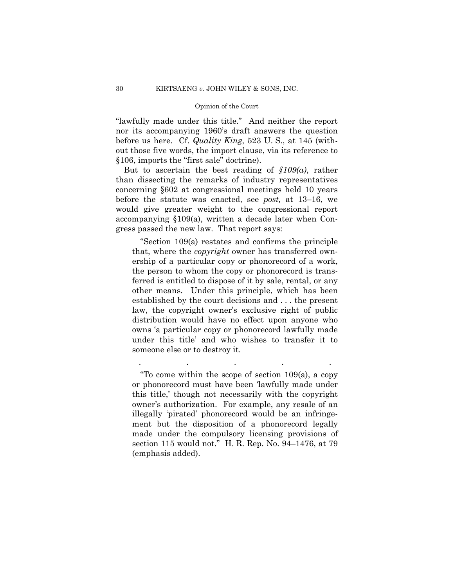"lawfully made under this title." And neither the report nor its accompanying 1960's draft answers the question before us here. Cf. *Quality King*, 523 U. S., at 145 (without those five words, the import clause, via its reference to §106, imports the "first sale" doctrine).

 gress passed the new law. That report says: But to ascertain the best reading of *§109(a)*, rather than dissecting the remarks of industry representatives concerning §602 at congressional meetings held 10 years before the statute was enacted, see *post,* at 13–16, we would give greater weight to the congressional report accompanying §109(a), written a decade later when Con-

"Section 109(a) restates and confirms the principle that, where the *copyright* owner has transferred ownership of a particular copy or phonorecord of a work, the person to whom the copy or phonorecord is transferred is entitled to dispose of it by sale, rental, or any other means. Under this principle, which has been established by the court decisions and . . . the present law, the copyright owner's exclusive right of public distribution would have no effect upon anyone who owns 'a particular copy or phonorecord lawfully made under this title' and who wishes to transfer it to someone else or to destroy it.

"To come within the scope of section 109(a), a copy or phonorecord must have been 'lawfully made under this title,' though not necessarily with the copyright owner's authorization. For example, any resale of an illegally 'pirated' phonorecord would be an infringement but the disposition of a phonorecord legally made under the compulsory licensing provisions of section 115 would not." H. R. Rep. No. 94–1476, at 79 (emphasis added).

. . . . .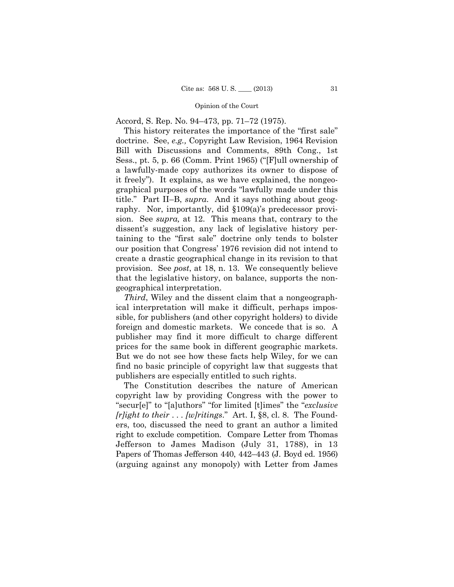Accord, S. Rep. No. 94–473, pp. 71–72 (1975).

This history reiterates the importance of the "first sale" doctrine. See, *e.g.,* Copyright Law Revision, 1964 Revision Bill with Discussions and Comments, 89th Cong., 1st Sess., pt. 5, p. 66 (Comm. Print 1965) ("[F]ull ownership of a lawfully-made copy authorizes its owner to dispose of it freely"). It explains, as we have explained, the nongeographical purposes of the words "lawfully made under this title." Part II–B, *supra*. And it says nothing about geography. Nor, importantly, did §109(a)'s predecessor provision. See *supra,* at 12. This means that, contrary to the dissent's suggestion, any lack of legislative history pertaining to the "first sale" doctrine only tends to bolster our position that Congress' 1976 revision did not intend to create a drastic geographical change in its revision to that provision. See *post*, at 18, n. 13. We consequently believe that the legislative history, on balance, supports the nongeographical interpretation.

*Third*, Wiley and the dissent claim that a nongeographical interpretation will make it difficult, perhaps impossible, for publishers (and other copyright holders) to divide foreign and domestic markets. We concede that is so. A publisher may find it more difficult to charge different prices for the same book in different geographic markets. But we do not see how these facts help Wiley, for we can find no basic principle of copyright law that suggests that publishers are especially entitled to such rights.

The Constitution describes the nature of American copyright law by providing Congress with the power to "secur[e]" to "[a]uthors" "for limited [t]imes" the "*exclusive [r]ight to their* . . . *[w]ritings*." Art. I, §8, cl. 8. The Founders, too, discussed the need to grant an author a limited right to exclude competition. Compare Letter from Thomas Jefferson to James Madison (July 31, 1788), in 13 Papers of Thomas Jefferson 440, 442–443 (J. Boyd ed. 1956) (arguing against any monopoly) with Letter from James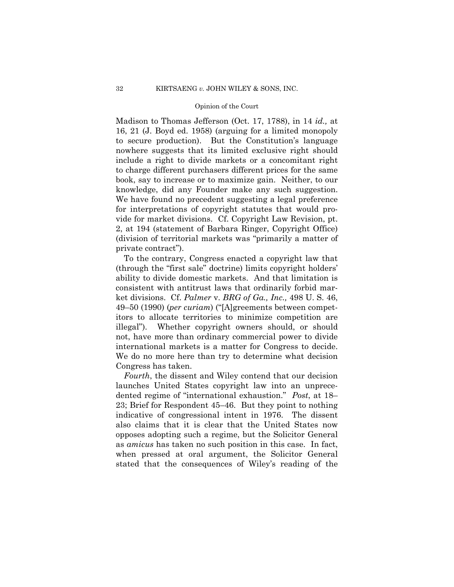knowledge, did any Founder make any such suggestion. Madison to Thomas Jefferson (Oct. 17, 1788), in 14 *id.,* at 16, 21 (J. Boyd ed. 1958) (arguing for a limited monopoly to secure production). But the Constitution's language nowhere suggests that its limited exclusive right should include a right to divide markets or a concomitant right to charge different purchasers different prices for the same book, say to increase or to maximize gain. Neither, to our We have found no precedent suggesting a legal preference for interpretations of copyright statutes that would provide for market divisions. Cf. Copyright Law Revision, pt. 2, at 194 (statement of Barbara Ringer, Copyright Office) (division of territorial markets was "primarily a matter of private contract").

To the contrary, Congress enacted a copyright law that (through the "first sale" doctrine) limits copyright holders' ability to divide domestic markets. And that limitation is consistent with antitrust laws that ordinarily forbid market divisions. Cf. *Palmer* v. *BRG of Ga., Inc.,* 498 U. S. 46, 49–50 (1990) (*per curiam*) ("[A]greements between competitors to allocate territories to minimize competition are illegal"). Whether copyright owners should, or should not, have more than ordinary commercial power to divide international markets is a matter for Congress to decide. We do no more here than try to determine what decision Congress has taken.

*Fourth*, the dissent and Wiley contend that our decision launches United States copyright law into an unprecedented regime of "international exhaustion." *Post*, at 18– 23; Brief for Respondent 45–46. But they point to nothing indicative of congressional intent in 1976. The dissent also claims that it is clear that the United States now opposes adopting such a regime, but the Solicitor General as *amicus* has taken no such position in this case. In fact, when pressed at oral argument, the Solicitor General stated that the consequences of Wiley's reading of the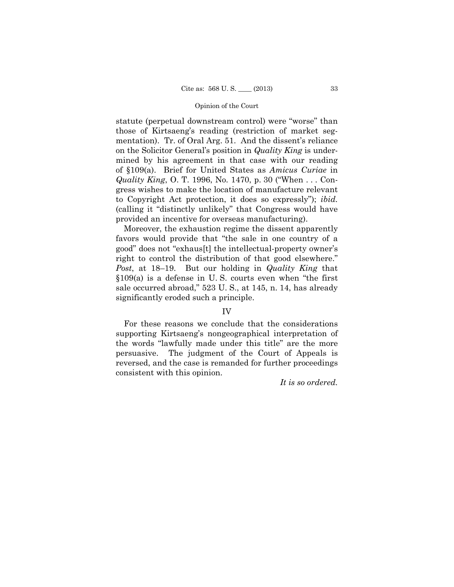### Opinion of the Court

statute (perpetual downstream control) were "worse" than those of Kirtsaeng's reading (restriction of market segmentation). Tr. of Oral Arg. 51. And the dissent's reliance on the Solicitor General's position in *Quality King* is undermined by his agreement in that case with our reading of §109(a). Brief for United States as *Amicus Curiae* in *Quality King*, O. T. 1996, No. 1470, p. 30 ("When . . . Congress wishes to make the location of manufacture relevant to Copyright Act protection, it does so expressly"); *ibid.*  (calling it "distinctly unlikely" that Congress would have provided an incentive for overseas manufacturing).

Moreover, the exhaustion regime the dissent apparently favors would provide that "the sale in one country of a good" does not "exhaus[t] the intellectual-property owner's right to control the distribution of that good elsewhere." *Post*, at 18–19. But our holding in *Quality King* that  $§109(a)$  is a defense in U.S. courts even when "the first" sale occurred abroad," 523 U. S., at 145, n. 14, has already significantly eroded such a principle.

# IV

For these reasons we conclude that the considerations supporting Kirtsaeng's nongeographical interpretation of the words "lawfully made under this title" are the more persuasive. The judgment of the Court of Appeals is reversed, and the case is remanded for further proceedings consistent with this opinion.

*It is so ordered.*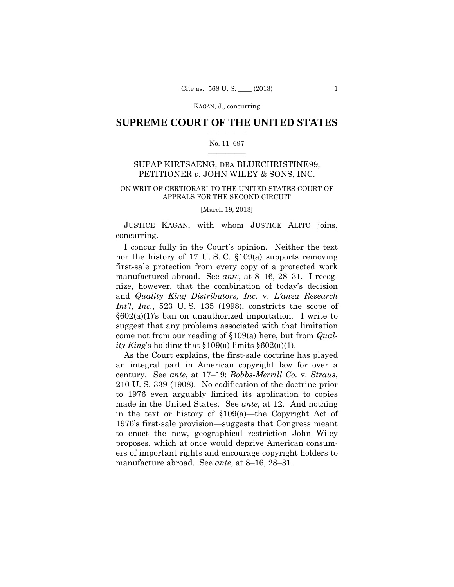# $\frac{1}{2}$  ,  $\frac{1}{2}$  ,  $\frac{1}{2}$  ,  $\frac{1}{2}$  ,  $\frac{1}{2}$  ,  $\frac{1}{2}$  ,  $\frac{1}{2}$ **SUPREME COURT OF THE UNITED STATES**

## $\frac{1}{2}$  ,  $\frac{1}{2}$  ,  $\frac{1}{2}$  ,  $\frac{1}{2}$  ,  $\frac{1}{2}$  ,  $\frac{1}{2}$ No. 11–697

# SUPAP KIRTSAENG, DBA BLUECHRISTINE99, PETITIONER *v.* JOHN WILEY & SONS, INC.

# ON WRIT OF CERTIORARI TO THE UNITED STATES COURT OF APPEALS FOR THE SECOND CIRCUIT

[March 19, 2013]

 JUSTICE KAGAN, with whom JUSTICE ALITO joins, concurring.

I concur fully in the Court's opinion. Neither the text nor the history of 17 U. S. C. §109(a) supports removing first-sale protection from every copy of a protected work manufactured abroad. See *ante*, at 8–16, 28–31. I recognize, however, that the combination of today's decision and *Quality King Distributors, Inc.* v. *L'anza Research Int'l, Inc.*, 523 U.S. 135 (1998), constricts the scope of  $§602(a)(1)'$ s ban on unauthorized importation. I write to suggest that any problems associated with that limitation come not from our reading of §109(a) here, but from *Quality King*'s holding that §109(a) limits §602(a)(1).

 an integral part in American copyright law for over a As the Court explains, the first-sale doctrine has played century. See *ante*, at 17–19; *Bobbs-Merrill Co.* v. *Straus*, 210 U. S. 339 (1908). No codification of the doctrine prior to 1976 even arguably limited its application to copies made in the United States. See *ante*, at 12. And nothing in the text or history of §109(a)—the Copyright Act of 1976's first-sale provision—suggests that Congress meant to enact the new, geographical restriction John Wiley proposes, which at once would deprive American consumers of important rights and encourage copyright holders to manufacture abroad. See *ante*, at 8–16, 28–31.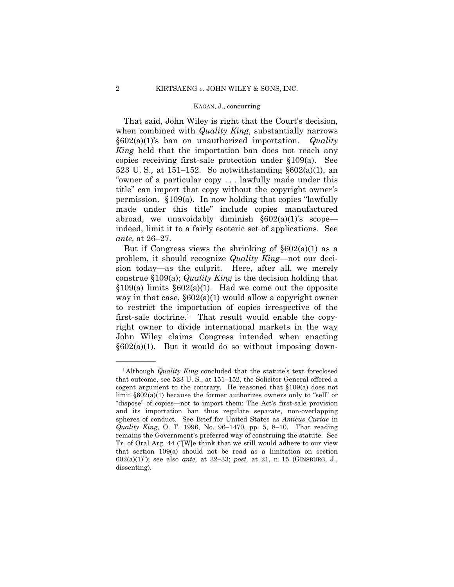That said, John Wiley is right that the Court's decision, when combined with *Quality King*, substantially narrows §602(a)(1)'s ban on unauthorized importation. *Quality King* held that the importation ban does not reach any copies receiving first-sale protection under §109(a). See 523 U. S.*,* at 151–152. So notwithstanding §602(a)(1), an "owner of a particular copy . . . lawfully made under this title" can import that copy without the copyright owner's permission. §109(a). In now holding that copies "lawfully made under this title" include copies manufactured abroad, we unavoidably diminish  $\S602(a)(1)$ 's scope indeed, limit it to a fairly esoteric set of applications. See *ante,* at 26–27.

But if Congress views the shrinking of  $\S 602(a)(1)$  as a problem, it should recognize *Quality King*—not our decision today—as the culprit. Here, after all, we merely construe §109(a); *Quality King* is the decision holding that  $$109(a)$  limits  $$602(a)(1)$ . Had we come out the opposite way in that case,  $$602(a)(1)$  would allow a copyright owner to restrict the importation of copies irrespective of the first-sale doctrine.<sup>1</sup> That result would enable the copyright owner to divide international markets in the way John Wiley claims Congress intended when enacting  $§602(a)(1)$ . But it would do so without imposing down-

<sup>&</sup>lt;sup>1</sup>Although *Quality King* concluded that the statute's text foreclosed that outcome, see 523 U. S., at 151–152, the Solicitor General offered a cogent argument to the contrary. He reasoned that §109(a) does not limit §602(a)(1) because the former authorizes owners only to "sell" or "dispose" of copies—not to import them: The Act's first-sale provision and its importation ban thus regulate separate, non-overlapping spheres of conduct. See Brief for United States as *Amicus Curiae* in *Quality King*, O. T. 1996, No. 96–1470, pp. 5, 8–10. That reading remains the Government's preferred way of construing the statute. See Tr. of Oral Arg. 44 ("[W]e think that we still would adhere to our view that section 109(a) should not be read as a limitation on section 602(a)(1)"); see also *ante,* at 32–33; *post,* at 21, n. 15 (GINSBURG, J., dissenting).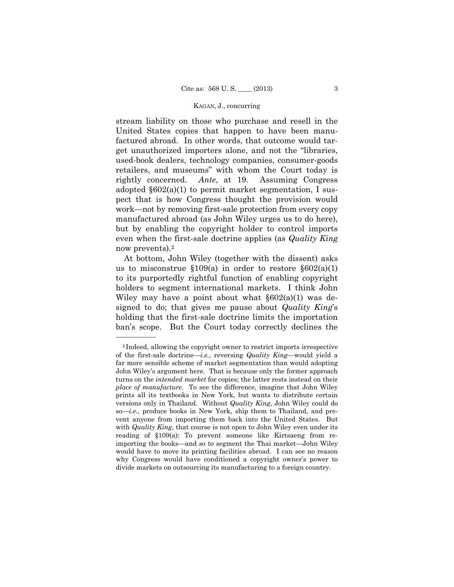stream liability on those who purchase and resell in the United States copies that happen to have been manufactured abroad. In other words, that outcome would target unauthorized importers alone, and not the "libraries, used-book dealers, technology companies, consumer-goods retailers, and museums" with whom the Court today is rightly concerned. *Ante*, at 19. Assuming Congress adopted  $\S602(a)(1)$  to permit market segmentation, I suspect that is how Congress thought the provision would work—not by removing first-sale protection from every copy manufactured abroad (as John Wiley urges us to do here), but by enabling the copyright holder to control imports even when the first-sale doctrine applies (as *Quality King*  now prevents).2

At bottom, John Wiley (together with the dissent) asks us to misconstrue  $$109(a)$  in order to restore  $$602(a)(1)$ to its purportedly rightful function of enabling copyright holders to segment international markets. I think John Wiley may have a point about what  $\S 602(a)(1)$  was designed to do; that gives me pause about *Quality King*'s holding that the first-sale doctrine limits the importation ban's scope. But the Court today correctly declines the

<sup>2</sup> Indeed, allowing the copyright owner to restrict imports irrespective of the first-sale doctrine—*i.e.*, reversing *Quality King*—would yield a far more sensible scheme of market segmentation than would adopting John Wiley's argument here. That is because only the former approach turns on the *intended market* for copies; the latter rests instead on their *place of manufacture*. To see the difference, imagine that John Wiley prints all its textbooks in New York, but wants to distribute certain versions only in Thailand. Without *Quality King*, John Wiley could do so—*i.e.,* produce books in New York, ship them to Thailand, and prevent anyone from importing them back into the United States. But with *Quality King*, that course is not open to John Wiley even under its reading of §109(a): To prevent someone like Kirtsaeng from reimporting the books—and so to segment the Thai market—John Wiley would have to move its printing facilities abroad. I can see no reason why Congress would have conditioned a copyright owner's power to divide markets on outsourcing its manufacturing to a foreign country.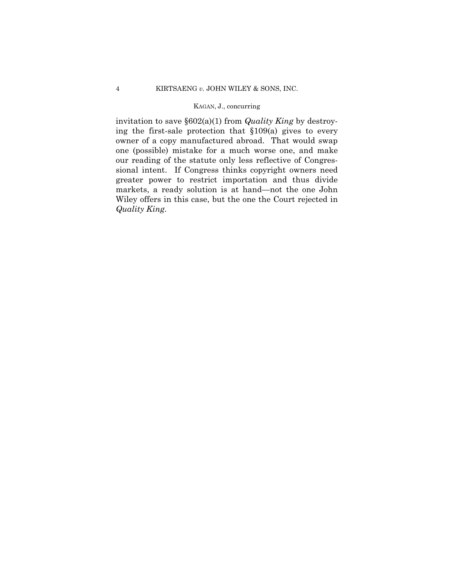invitation to save §602(a)(1) from *Quality King* by destroying the first-sale protection that §109(a) gives to every owner of a copy manufactured abroad. That would swap one (possible) mistake for a much worse one, and make our reading of the statute only less reflective of Congressional intent. If Congress thinks copyright owners need greater power to restrict importation and thus divide markets, a ready solution is at hand—not the one John Wiley offers in this case, but the one the Court rejected in *Quality King*.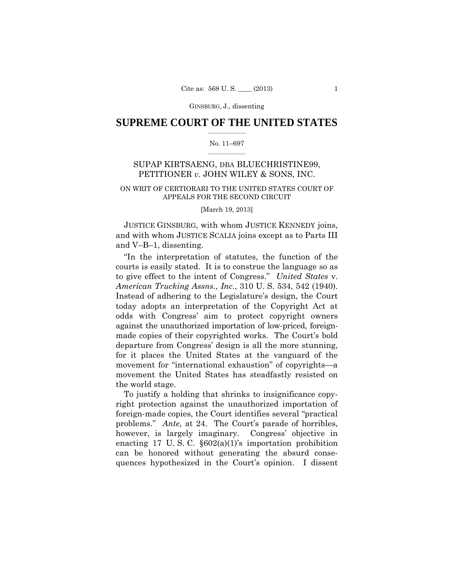# $\frac{1}{2}$  ,  $\frac{1}{2}$  ,  $\frac{1}{2}$  ,  $\frac{1}{2}$  ,  $\frac{1}{2}$  ,  $\frac{1}{2}$  ,  $\frac{1}{2}$ **SUPREME COURT OF THE UNITED STATES**

## $\frac{1}{2}$  ,  $\frac{1}{2}$  ,  $\frac{1}{2}$  ,  $\frac{1}{2}$  ,  $\frac{1}{2}$  ,  $\frac{1}{2}$ No. 11–697

# SUPAP KIRTSAENG, DBA BLUECHRISTINE99, PETITIONER *v.* JOHN WILEY & SONS, INC.

# ON WRIT OF CERTIORARI TO THE UNITED STATES COURT OF APPEALS FOR THE SECOND CIRCUIT

[March 19, 2013]

 JUSTICE GINSBURG, with whom JUSTICE KENNEDY joins, and with whom JUSTICE SCALIA joins except as to Parts III and V–B–1, dissenting.

"In the interpretation of statutes, the function of the courts is easily stated. It is to construe the language so as to give effect to the intent of Congress." *United States* v. *American Trucking Assns., Inc.*, 310 U. S. 534, 542 (1940). Instead of adhering to the Legislature's design, the Court today adopts an interpretation of the Copyright Act at odds with Congress' aim to protect copyright owners against the unauthorized importation of low-priced, foreignmade copies of their copyrighted works. The Court's bold departure from Congress' design is all the more stunning, for it places the United States at the vanguard of the movement for "international exhaustion" of copyrights—a movement the United States has steadfastly resisted on the world stage.

To justify a holding that shrinks to insignificance copyright protection against the unauthorized importation of foreign-made copies, the Court identifies several "practical problems." *Ante*, at 24. The Court's parade of horribles, however, is largely imaginary. Congress' objective in enacting 17 U.S.C.  $\S602(a)(1)$ 's importation prohibition can be honored without generating the absurd consequences hypothesized in the Court's opinion. I dissent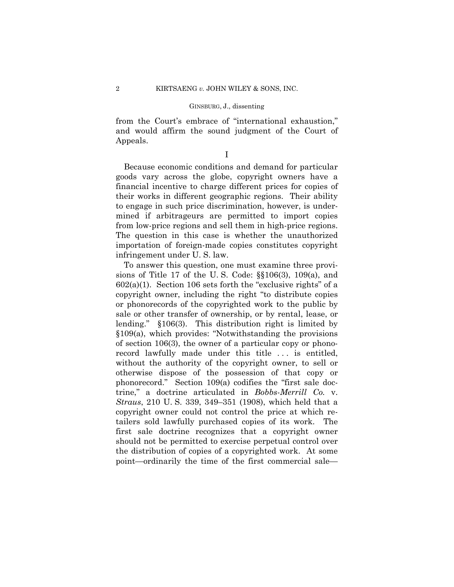from the Court's embrace of "international exhaustion," and would affirm the sound judgment of the Court of Appeals.

I

Because economic conditions and demand for particular goods vary across the globe, copyright owners have a financial incentive to charge different prices for copies of their works in different geographic regions. Their ability to engage in such price discrimination, however, is undermined if arbitrageurs are permitted to import copies from low-price regions and sell them in high-price regions. The question in this case is whether the unauthorized importation of foreign-made copies constitutes copyright infringement under U. S. law.

To answer this question, one must examine three provisions of Title 17 of the U. S. Code: §§106(3), 109(a), and  $602(a)(1)$ . Section 106 sets forth the "exclusive rights" of a copyright owner, including the right "to distribute copies or phonorecords of the copyrighted work to the public by sale or other transfer of ownership, or by rental, lease, or lending." §106(3). This distribution right is limited by §109(a), which provides: "Notwithstanding the provisions of section 106(3), the owner of a particular copy or phonorecord lawfully made under this title ... is entitled, without the authority of the copyright owner, to sell or otherwise dispose of the possession of that copy or phonorecord." Section 109(a) codifies the "first sale doctrine," a doctrine articulated in *Bobbs-Merrill Co.* v. *Straus*, 210 U. S. 339, 349–351 (1908), which held that a copyright owner could not control the price at which retailers sold lawfully purchased copies of its work. The first sale doctrine recognizes that a copyright owner should not be permitted to exercise perpetual control over the distribution of copies of a copyrighted work. At some point—ordinarily the time of the first commercial sale—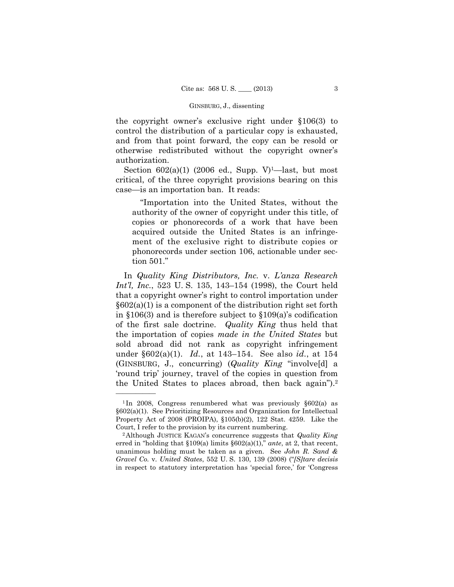the copyright owner's exclusive right under §106(3) to control the distribution of a particular copy is exhausted, and from that point forward, the copy can be resold or otherwise redistributed without the copyright owner's authorization.

Section  $602(a)(1)$  (2006 ed., Supp. V<sup>-1</sup>—last, but most critical, of the three copyright provisions bearing on this case—is an importation ban. It reads:

"Importation into the United States, without the authority of the owner of copyright under this title, of copies or phonorecords of a work that have been acquired outside the United States is an infringement of the exclusive right to distribute copies or phonorecords under section 106, actionable under section 501."

 under §602(a)(1). *Id.*, at 143–154. See also *id.*, at 154 the United States to places abroad, then back again").2 In *Quality King Distributors, Inc.* v. *L'anza Research Int'l, Inc.*, 523 U. S. 135, 143–154 (1998), the Court held that a copyright owner's right to control importation under  $§602(a)(1)$  is a component of the distribution right set forth in §106(3) and is therefore subject to §109(a)'s codification of the first sale doctrine. *Quality King* thus held that the importation of copies *made in the United States* but sold abroad did not rank as copyright infringement (GINSBURG, J., concurring) (*Quality King* "involve[d] a 'round trip' journey, travel of the copies in question from

<sup>&</sup>lt;sup>1</sup>In 2008, Congress renumbered what was previously §602(a) as §602(a)(1). See Prioritizing Resources and Organization for Intellectual Property Act of 2008 (PROIPA), §105(b)(2), 122 Stat. 4259. Like the Court, I refer to the provision by its current numbering. 2Although JUSTICE KAGAN's concurrence suggests that *Quality King*

 unanimous holding must be taken as a given. See *John R. Sand &*  erred in "holding that §109(a) limits §602(a)(1)," *ante*, at 2, that recent, *Gravel Co.* v. *United States*, 552 U. S. 130, 139 (2008) ("*[S]tare decisis* in respect to statutory interpretation has 'special force,' for 'Congress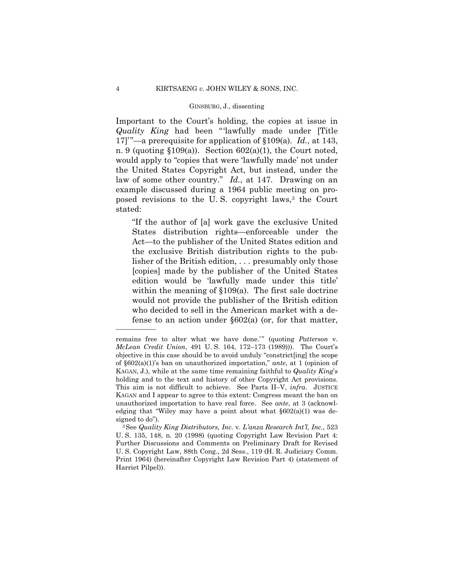law of some other country." *Id.*, at 147. Drawing on an Important to the Court's holding, the copies at issue in *Quality King* had been "'lawfully made under [Title 17]'"—a prerequisite for application of §109(a). *Id.*, at 143, n. 9 (quoting  $$109(a)$ ). Section  $602(a)(1)$ , the Court noted, would apply to "copies that were 'lawfully made' not under the United States Copyright Act, but instead, under the example discussed during a 1964 public meeting on proposed revisions to the U.S. copyright laws,<sup>3</sup> the Court stated:

"If the author of [a] work gave the exclusive United States distribution rights—enforceable under the Act—to the publisher of the United States edition and the exclusive British distribution rights to the publisher of the British edition, . . . presumably only those [copies] made by the publisher of the United States edition would be 'lawfully made under this title' within the meaning of  $\S109(a)$ . The first sale doctrine would not provide the publisher of the British edition who decided to sell in the American market with a defense to an action under  $\S 602(a)$  (or, for that matter,

remains free to alter what we have done.'" (quoting *Patterson* v. *McLean Credit Union*, 491 U. S. 164, 172–173 (1989))). The Court's objective in this case should be to avoid unduly "constrict[ing] the scope of §602(a)(1)'s ban on unauthorized importation," *ante*, at 1 (opinion of KAGAN, J.), while at the same time remaining faithful to *Quality King*'s holding and to the text and history of other Copyright Act provisions. This aim is not difficult to achieve. See Parts II–V, *infra*. JUSTICE KAGAN and I appear to agree to this extent: Congress meant the ban on unauthorized importation to have real force. See *ante*, at 3 (acknowledging that "Wiley may have a point about what §602(a)(1) was designed to do"). 3See *Quality King Distributors, Inc.* v. *L'anza Research Int'l, Inc.*, 523

U. S. 135, 148, n. 20 (1998) (quoting Copyright Law Revision Part 4: Further Discussions and Comments on Preliminary Draft for Revised U. S. Copyright Law, 88th Cong., 2d Sess., 119 (H. R. Judiciary Comm. Print 1964) (hereinafter Copyright Law Revision Part 4) (statement of Harriet Pilpel)).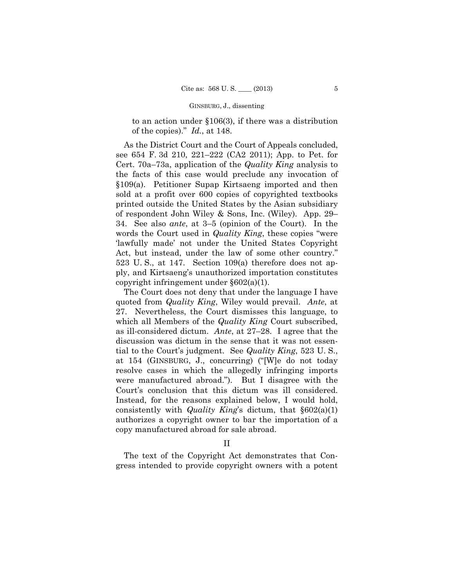to an action under §106(3), if there was a distribution of the copies)." *Id.*, at 148.

As the District Court and the Court of Appeals concluded, see 654 F. 3d 210, 221–222 (CA2 2011); App. to Pet. for Cert. 70a–73a, application of the *Quality King* analysis to the facts of this case would preclude any invocation of §109(a). Petitioner Supap Kirtsaeng imported and then sold at a profit over 600 copies of copyrighted textbooks printed outside the United States by the Asian subsidiary of respondent John Wiley & Sons, Inc. (Wiley). App. 29– 34. See also *ante*, at 3–5 (opinion of the Court). In the words the Court used in *Quality King*, these copies "were 'lawfully made' not under the United States Copyright Act, but instead, under the law of some other country." 523 U. S., at 147. Section 109(a) therefore does not apply, and Kirtsaeng's unauthorized importation constitutes copyright infringement under §602(a)(1).

The Court does not deny that under the language I have quoted from *Quality King*, Wiley would prevail. *Ante*, at 27. Nevertheless, the Court dismisses this language, to which all Members of the *Quality King* Court subscribed, as ill-considered dictum. *Ante*, at 27–28. I agree that the discussion was dictum in the sense that it was not essential to the Court's judgment. See *Quality King*, 523 U. S., at 154 (GINSBURG, J., concurring) ("[W]e do not today resolve cases in which the allegedly infringing imports were manufactured abroad."). But I disagree with the Court's conclusion that this dictum was ill considered. Instead, for the reasons explained below, I would hold, consistently with *Quality King*'s dictum, that §602(a)(1) authorizes a copyright owner to bar the importation of a copy manufactured abroad for sale abroad.

## II

The text of the Copyright Act demonstrates that Congress intended to provide copyright owners with a potent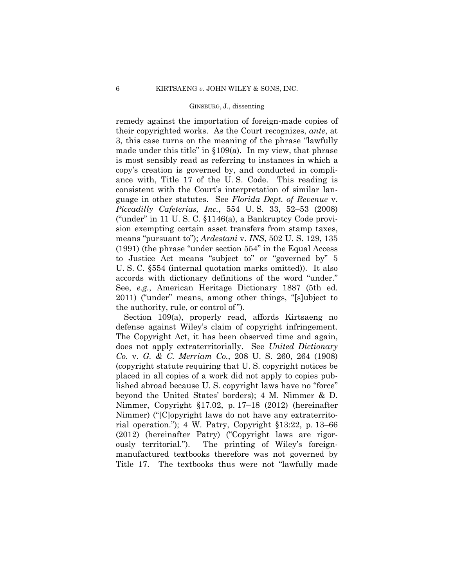remedy against the importation of foreign-made copies of their copyrighted works. As the Court recognizes, *ante*, at 3, this case turns on the meaning of the phrase "lawfully made under this title" in §109(a). In my view, that phrase is most sensibly read as referring to instances in which a copy's creation is governed by, and conducted in compliance with, Title 17 of the U. S. Code. This reading is consistent with the Court's interpretation of similar language in other statutes. See *Florida Dept. of Revenue* v. *Piccadilly Cafeterias, Inc.*, 554 U. S. 33, 52–53 (2008) ("under" in 11 U. S. C. §1146(a), a Bankruptcy Code provision exempting certain asset transfers from stamp taxes, means "pursuant to"); *Ardestani* v. *INS*, 502 U. S. 129, 135 (1991) (the phrase "under section 554" in the Equal Access to Justice Act means "subject to" or "governed by" 5 U. S. C. §554 (internal quotation marks omitted)). It also accords with dictionary definitions of the word "under." See, *e.g.*, American Heritage Dictionary 1887 (5th ed. 2011) ("under" means, among other things, "[s]ubject to the authority, rule, or control of ").

Section 109(a), properly read, affords Kirtsaeng no defense against Wiley's claim of copyright infringement. The Copyright Act, it has been observed time and again, does not apply extraterritorially. See *United Dictionary Co.* v. *G. & C. Merriam Co.*, 208 U. S. 260, 264 (1908) (copyright statute requiring that U. S. copyright notices be placed in all copies of a work did not apply to copies published abroad because U. S. copyright laws have no "force" beyond the United States' borders); 4 M. Nimmer & D. Nimmer, Copyright §17.02, p. 17–18 (2012) (hereinafter Nimmer) ("[C]opyright laws do not have any extraterritorial operation."); 4 W. Patry, Copyright §13:22, p. 13–66 (2012) (hereinafter Patry) ("Copyright laws are rigorously territorial."). The printing of Wiley's foreignmanufactured textbooks therefore was not governed by Title 17. The textbooks thus were not "lawfully made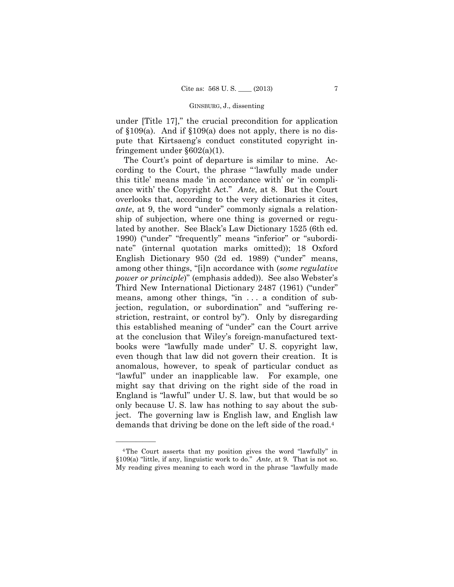under [Title 17]," the crucial precondition for application of  $$109(a)$ . And if  $$109(a)$  does not apply, there is no dispute that Kirtsaeng's conduct constituted copyright infringement under §602(a)(1).

 ance with' the Copyright Act." *Ante*, at 8. But the Court lated by another. See Black's Law Dictionary 1525 (6th ed. The Court's point of departure is similar to mine. According to the Court, the phrase "'lawfully made under this title' means made 'in accordance with' or 'in complioverlooks that, according to the very dictionaries it cites, *ante*, at 9, the word "under" commonly signals a relationship of subjection, where one thing is governed or regu-1990) ("under" "frequently" means "inferior" or "subordinate" (internal quotation marks omitted)); 18 Oxford English Dictionary 950 (2d ed. 1989) ("under" means, among other things, "[i]n accordance with (*some regulative power or principle*)" (emphasis added)). See also Webster's Third New International Dictionary 2487 (1961) ("under" means, among other things, "in . . . a condition of subjection, regulation, or subordination" and "suffering restriction, restraint, or control by"). Only by disregarding this established meaning of "under" can the Court arrive at the conclusion that Wiley's foreign-manufactured textbooks were "lawfully made under" U. S. copyright law, even though that law did not govern their creation. It is anomalous, however, to speak of particular conduct as "lawful" under an inapplicable law. For example, one might say that driving on the right side of the road in England is "lawful" under U. S. law, but that would be so only because U. S. law has nothing to say about the subject. The governing law is English law, and English law demands that driving be done on the left side of the road.4

<sup>4</sup>The Court asserts that my position gives the word "lawfully" in §109(a) "little, if any, linguistic work to do." *Ante*, at 9. That is not so. My reading gives meaning to each word in the phrase "lawfully made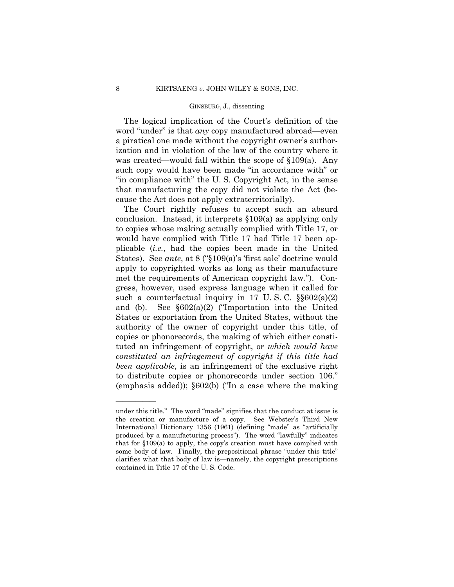The logical implication of the Court's definition of the word "under" is that *any* copy manufactured abroad—even a piratical one made without the copyright owner's authorization and in violation of the law of the country where it was created—would fall within the scope of §109(a). Any such copy would have been made "in accordance with" or "in compliance with" the U. S. Copyright Act, in the sense that manufacturing the copy did not violate the Act (because the Act does not apply extraterritorially).

The Court rightly refuses to accept such an absurd conclusion. Instead, it interprets §109(a) as applying only to copies whose making actually complied with Title 17, or would have complied with Title 17 had Title 17 been applicable (*i.e.*, had the copies been made in the United States). See *ante*, at 8 ("§109(a)'s 'first sale' doctrine would apply to copyrighted works as long as their manufacture met the requirements of American copyright law."). Congress, however, used express language when it called for such a counterfactual inquiry in 17 U. S. C. §§602(a)(2) and (b). See §602(a)(2) ("Importation into the United States or exportation from the United States, without the authority of the owner of copyright under this title, of copies or phonorecords, the making of which either constituted an infringement of copyright, or *which would have constituted an infringement of copyright if this title had been applicable*, is an infringement of the exclusive right to distribute copies or phonorecords under section 106." (emphasis added)); §602(b) ("In a case where the making

under this title." The word "made" signifies that the conduct at issue is the creation or manufacture of a copy. See Webster's Third New International Dictionary 1356 (1961) (defining "made" as "artificially produced by a manufacturing process"). The word "lawfully" indicates that for §109(a) to apply, the copy's creation must have complied with some body of law. Finally, the prepositional phrase "under this title" clarifies what that body of law is—namely, the copyright prescriptions contained in Title 17 of the U. S. Code.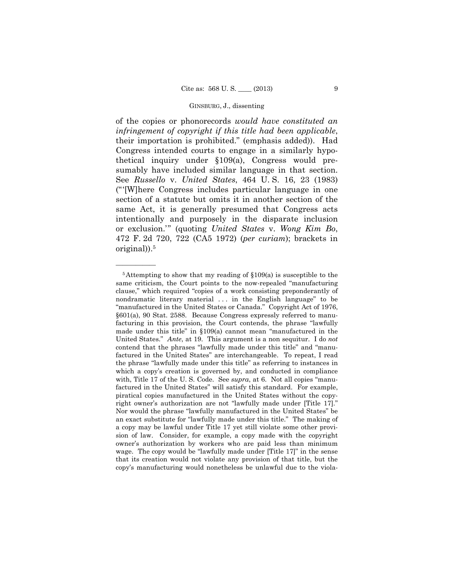of the copies or phonorecords *would have constituted an infringement of copyright if this title had been applicable*, their importation is prohibited." (emphasis added)). Had Congress intended courts to engage in a similarly hypothetical inquiry under §109(a), Congress would presumably have included similar language in that section. See *Russello* v. *United States*, 464 U. S. 16, 23 (1983) ("'[W]here Congress includes particular language in one section of a statute but omits it in another section of the same Act, it is generally presumed that Congress acts intentionally and purposely in the disparate inclusion or exclusion.'" (quoting *United States* v. *Wong Kim Bo*, 472 F. 2d 720, 722 (CA5 1972) (*per curiam*); brackets in original)).5

<sup>5</sup>Attempting to show that my reading of §109(a) is susceptible to the same criticism, the Court points to the now-repealed "manufacturing clause," which required "copies of a work consisting preponderantly of nondramatic literary material . . . in the English language" to be "manufactured in the United States or Canada." Copyright Act of 1976, §601(a), 90 Stat. 2588. Because Congress expressly referred to manufacturing in this provision, the Court contends, the phrase "lawfully made under this title" in §109(a) cannot mean "manufactured in the United States." *Ante*, at 19. This argument is a non sequitur. I do *not*  contend that the phrases "lawfully made under this title" and "manufactured in the United States" are interchangeable. To repeat, I read the phrase "lawfully made under this title" as referring to instances in which a copy's creation is governed by, and conducted in compliance with, Title 17 of the U. S. Code. See *supra*, at 6. Not all copies "manufactured in the United States" will satisfy this standard. For example, piratical copies manufactured in the United States without the copyright owner's authorization are not "lawfully made under [Title 17]." Nor would the phrase "lawfully manufactured in the United States" be an exact substitute for "lawfully made under this title." The making of a copy may be lawful under Title 17 yet still violate some other provision of law. Consider, for example, a copy made with the copyright owner's authorization by workers who are paid less than minimum wage. The copy would be "lawfully made under [Title 17]" in the sense that its creation would not violate any provision of that title, but the copy's manufacturing would nonetheless be unlawful due to the viola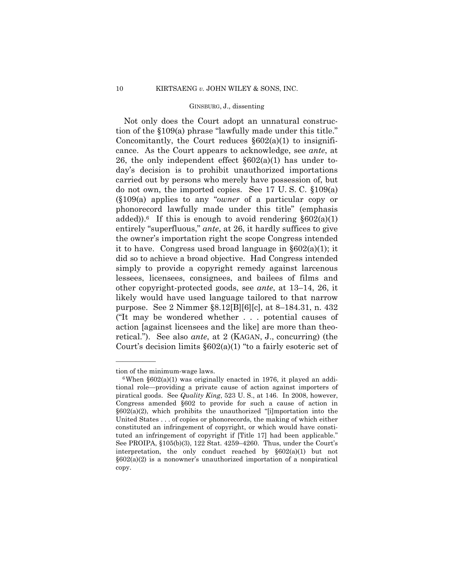did so to achieve a broad objective. Had Congress intended retical."). See also *ante*, at 2 (KAGAN, J., concurring) (the Not only does the Court adopt an unnatural construction of the §109(a) phrase "lawfully made under this title." Concomitantly, the Court reduces  $\S602(a)(1)$  to insignificance. As the Court appears to acknowledge, see *ante*, at 26, the only independent effect  $\S 602(a)(1)$  has under today's decision is to prohibit unauthorized importations carried out by persons who merely have possession of, but do not own, the imported copies. See 17 U. S. C. §109(a) (§109(a) applies to any "*owner* of a particular copy or phonorecord lawfully made under this title" (emphasis added)).<sup>6</sup> If this is enough to avoid rendering  $\S 602(a)(1)$ entirely "superfluous," *ante*, at 26, it hardly suffices to give the owner's importation right the scope Congress intended it to have. Congress used broad language in §602(a)(1); it simply to provide a copyright remedy against larcenous lessees, licensees, consignees, and bailees of films and other copyright-protected goods, see *ante*, at 13–14, 26, it likely would have used language tailored to that narrow purpose. See 2 Nimmer §8.12[B][6][c], at 8–184.31, n. 432 ("It may be wondered whether . . . potential causes of action [against licensees and the like] are more than theo-Court's decision limits §602(a)(1) "to a fairly esoteric set of

tion of the minimum-wage laws.<br><sup>6</sup>When §602(a)(1) was originally enacted in 1976, it played an additional role—providing a private cause of action against importers of piratical goods. See *Quality King*, 523 U. S., at 146. In 2008, however, Congress amended §602 to provide for such a cause of action in §602(a)(2), which prohibits the unauthorized "[i]mportation into the United States . . . of copies or phonorecords, the making of which either constituted an infringement of copyright, or which would have constituted an infringement of copyright if [Title 17] had been applicable." See PROIPA, §105(b)(3), 122 Stat. 4259–4260. Thus, under the Court's interpretation, the only conduct reached by §602(a)(1) but not  $§602(a)(2)$  is a nonowner's unauthorized importation of a nonpiratical copy.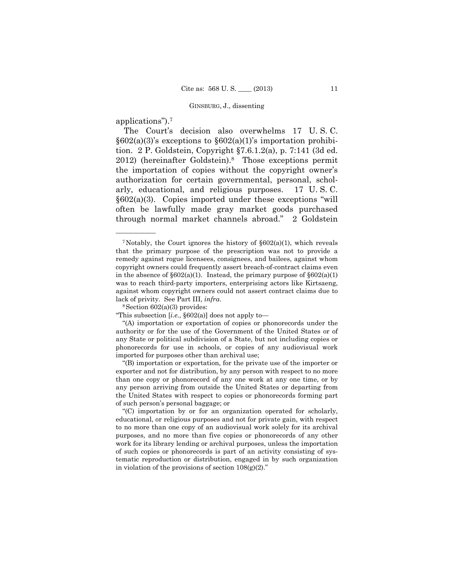applications").7

——————

The Court's decision also overwhelms 17 U. S. C.  $§602(a)(3)$ 's exceptions to  $§602(a)(1)$ 's importation prohibition. 2 P. Goldstein, Copyright §7.6.1.2(a), p. 7:141 (3d ed. 2012) (hereinafter Goldstein).8 Those exceptions permit the importation of copies without the copyright owner's authorization for certain governmental, personal, scholarly, educational, and religious purposes. 17 U. S. C. §602(a)(3). Copies imported under these exceptions "will often be lawfully made gray market goods purchased through normal market channels abroad." 2 Goldstein

<sup>&</sup>lt;sup>7</sup>Notably, the Court ignores the history of  $\S602(a)(1)$ , which reveals that the primary purpose of the prescription was not to provide a remedy against rogue licensees, consignees, and bailees, against whom copyright owners could frequently assert breach-of-contract claims even in the absence of  $\S 602(a)(1)$ . Instead, the primary purpose of  $\S 602(a)(1)$ was to reach third-party importers, enterprising actors like Kirtsaeng, against whom copyright owners could not assert contract claims due to lack of privity. See Part III, *infra*.<br><sup>8</sup> Section 602(a)(3) provides:

<sup>&</sup>quot;This subsection [*i.e.*, §602(a)] does not apply to—

<sup>&</sup>quot;(A) importation or exportation of copies or phonorecords under the authority or for the use of the Government of the United States or of any State or political subdivision of a State, but not including copies or phonorecords for use in schools, or copies of any audiovisual work imported for purposes other than archival use;

<sup>&</sup>quot;(B) importation or exportation, for the private use of the importer or exporter and not for distribution, by any person with respect to no more than one copy or phonorecord of any one work at any one time, or by any person arriving from outside the United States or departing from the United States with respect to copies or phonorecords forming part of such person's personal baggage; or

<sup>&</sup>quot;(C) importation by or for an organization operated for scholarly, educational, or religious purposes and not for private gain, with respect to no more than one copy of an audiovisual work solely for its archival purposes, and no more than five copies or phonorecords of any other work for its library lending or archival purposes, unless the importation of such copies or phonorecords is part of an activity consisting of systematic reproduction or distribution, engaged in by such organization in violation of the provisions of section  $108(g)(2)$ ."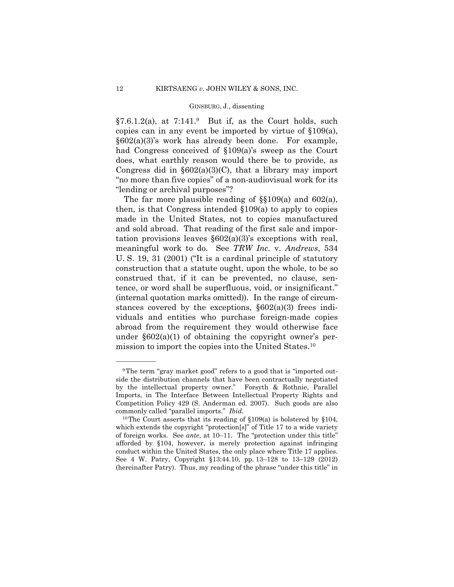$§7.6.1.2(a)$ , at  $7.141.9$  But if, as the Court holds, such copies can in any event be imported by virtue of §109(a),  $§602(a)(3)$ 's work has already been done. For example, had Congress conceived of §109(a)'s sweep as the Court does, what earthly reason would there be to provide, as Congress did in  $\S602(a)(3)(C)$ , that a library may import "no more than five copies" of a non-audiovisual work for its "lending or archival purposes"?

The far more plausible reading of §§109(a) and 602(a), then, is that Congress intended §109(a) to apply to copies made in the United States, not to copies manufactured and sold abroad. That reading of the first sale and importation provisions leaves  $§602(a)(3)$ 's exceptions with real, meaningful work to do. See *TRW Inc.* v. *Andrews*, 534 U. S. 19, 31 (2001) ("It is a cardinal principle of statutory construction that a statute ought, upon the whole, to be so construed that, if it can be prevented, no clause, sentence, or word shall be superfluous, void, or insignificant." (internal quotation marks omitted)). In the range of circumstances covered by the exceptions, §602(a)(3) frees individuals and entities who purchase foreign-made copies abroad from the requirement they would otherwise face under  $\S 602(a)(1)$  of obtaining the copyright owner's permission to import the copies into the United States.10

<sup>9</sup>The term "gray market good" refers to a good that is "imported outside the distribution channels that have been contractually negotiated by the intellectual property owner." Forsyth & Rothnie, Parallel Imports, in The Interface Between Intellectual Property Rights and Competition Policy 429 (S. Anderman ed. 2007). Such goods are also commonly called "parallel imports." *Ibid.* 

<sup>&</sup>lt;sup>10</sup>The Court asserts that its reading of  $$109(a)$  is bolstered by  $$104$ , which extends the copyright "protection[s]" of Title 17 to a wide variety of foreign works. See *ante*, at 10–11. The "protection under this title" afforded by §104, however, is merely protection against infringing conduct within the United States, the only place where Title 17 applies. See 4 W. Patry, Copyright §13:44.10, pp. 13–128 to 13–129 (2012) (hereinafter Patry). Thus, my reading of the phrase "under this title" in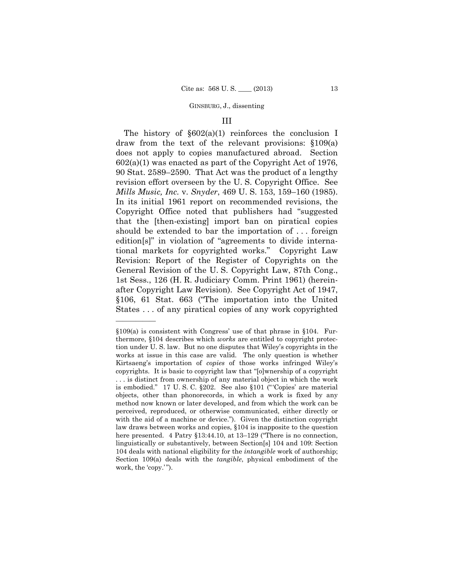## III

The history of  $\S602(a)(1)$  reinforces the conclusion I draw from the text of the relevant provisions: §109(a) does not apply to copies manufactured abroad. Section  $602(a)(1)$  was enacted as part of the Copyright Act of 1976, 90 Stat. 2589–2590. That Act was the product of a lengthy revision effort overseen by the U. S. Copyright Office. See *Mills Music, Inc.* v. *Snyder*, 469 U. S. 153, 159–160 (1985). In its initial 1961 report on recommended revisions, the Copyright Office noted that publishers had "suggested that the [then-existing] import ban on piratical copies should be extended to bar the importation of . . . foreign edition[s]" in violation of "agreements to divide international markets for copyrighted works." Copyright Law Revision: Report of the Register of Copyrights on the General Revision of the U. S. Copyright Law, 87th Cong., 1st Sess., 126 (H. R. Judiciary Comm. Print 1961) (hereinafter Copyright Law Revision). See Copyright Act of 1947, §106, 61 Stat. 663 ("The importation into the United States . . . of any piratical copies of any work copyrighted

<sup>§109(</sup>a) is consistent with Congress' use of that phrase in §104. Furthermore, §104 describes which *works* are entitled to copyright protection under U. S. law. But no one disputes that Wiley's copyrights in the works at issue in this case are valid. The only question is whether Kirtsaeng's importation of *copies* of those works infringed Wiley's copyrights. It is basic to copyright law that "[o]wnership of a copyright . . . is distinct from ownership of any material object in which the work is embodied." 17 U. S. C. §202. See also §101 ("'Copies' are material objects, other than phonorecords, in which a work is fixed by any method now known or later developed, and from which the work can be perceived, reproduced, or otherwise communicated, either directly or with the aid of a machine or device."). Given the distinction copyright law draws between works and copies, §104 is inapposite to the question here presented. 4 Patry §13:44.10, at 13–129 ("There is no connection, linguistically or substantively, between Section[s] 104 and 109: Section 104 deals with national eligibility for the *intangible* work of authorship; Section 109(a) deals with the *tangible*, physical embodiment of the work, the 'copy.'").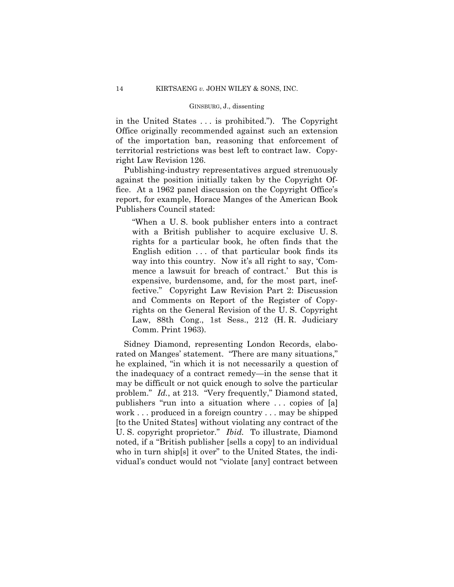in the United States . . . is prohibited."). The Copyright Office originally recommended against such an extension of the importation ban, reasoning that enforcement of territorial restrictions was best left to contract law. Copyright Law Revision 126.

Publishing-industry representatives argued strenuously against the position initially taken by the Copyright Office. At a 1962 panel discussion on the Copyright Office's report, for example, Horace Manges of the American Book Publishers Council stated:

"When a U. S. book publisher enters into a contract with a British publisher to acquire exclusive U. S. rights for a particular book, he often finds that the English edition . . . of that particular book finds its way into this country. Now it's all right to say, 'Commence a lawsuit for breach of contract.' But this is expensive, burdensome, and, for the most part, ineffective." Copyright Law Revision Part 2: Discussion and Comments on Report of the Register of Copyrights on the General Revision of the U. S. Copyright Law, 88th Cong., 1st Sess., 212 (H. R. Judiciary Comm. Print 1963).

Sidney Diamond, representing London Records, elaborated on Manges' statement. "There are many situations," he explained, "in which it is not necessarily a question of the inadequacy of a contract remedy—in the sense that it may be difficult or not quick enough to solve the particular problem." *Id.*, at 213. "Very frequently," Diamond stated, publishers "run into a situation where . . . copies of [a] work . . . produced in a foreign country . . . may be shipped [to the United States] without violating any contract of the U. S. copyright proprietor." *Ibid.* To illustrate, Diamond noted, if a "British publisher [sells a copy] to an individual who in turn ship[s] it over" to the United States, the individual's conduct would not "violate [any] contract between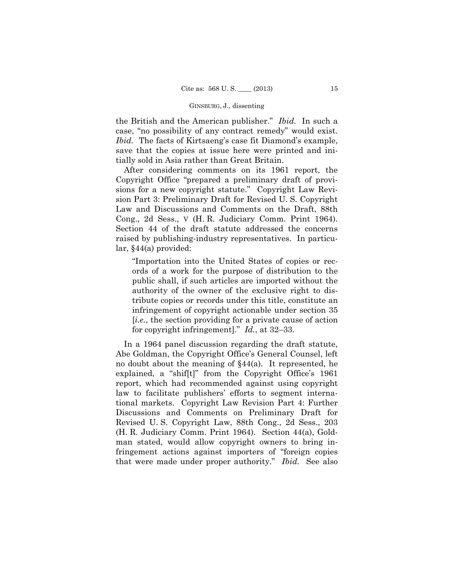the British and the American publisher." *Ibid.* In such a case, "no possibility of any contract remedy" would exist. *Ibid.* The facts of Kirtsaeng's case fit Diamond's example, save that the copies at issue here were printed and initially sold in Asia rather than Great Britain.

After considering comments on its 1961 report, the Copyright Office "prepared a preliminary draft of provisions for a new copyright statute." Copyright Law Revision Part 3: Preliminary Draft for Revised U. S. Copyright Law and Discussions and Comments on the Draft, 88th Cong., 2d Sess., V (H. R. Judiciary Comm. Print 1964). Section 44 of the draft statute addressed the concerns raised by publishing-industry representatives. In particular, §44(a) provided:

"Importation into the United States of copies or records of a work for the purpose of distribution to the public shall, if such articles are imported without the authority of the owner of the exclusive right to distribute copies or records under this title, constitute an infringement of copyright actionable under section 35 [*i.e.*, the section providing for a private cause of action for copyright infringement]." *Id.*, at 32–33.

In a 1964 panel discussion regarding the draft statute, Abe Goldman, the Copyright Office's General Counsel, left no doubt about the meaning of §44(a). It represented, he explained, a "shif[t]" from the Copyright Office's 1961 report, which had recommended against using copyright law to facilitate publishers' efforts to segment international markets. Copyright Law Revision Part 4: Further Discussions and Comments on Preliminary Draft for Revised U. S. Copyright Law, 88th Cong., 2d Sess., 203 (H. R. Judiciary Comm. Print 1964). Section 44(a), Goldman stated, would allow copyright owners to bring infringement actions against importers of "foreign copies that were made under proper authority." *Ibid.* See also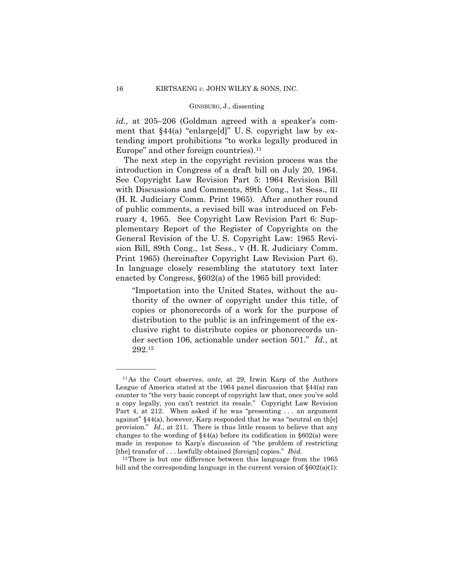*id.*, at 205–206 (Goldman agreed with a speaker's comment that §44(a) "enlarge[d]" U. S. copyright law by extending import prohibitions "to works legally produced in Europe" and other foreign countries).<sup>11</sup>

The next step in the copyright revision process was the introduction in Congress of a draft bill on July 20, 1964. See Copyright Law Revision Part 5: 1964 Revision Bill with Discussions and Comments, 89th Cong., 1st Sess., III (H. R. Judiciary Comm. Print 1965). After another round of public comments, a revised bill was introduced on February 4, 1965. See Copyright Law Revision Part 6: Supplementary Report of the Register of Copyrights on the General Revision of the U. S. Copyright Law: 1965 Revision Bill, 89th Cong., 1st Sess., V (H. R. Judiciary Comm. Print 1965) (hereinafter Copyright Law Revision Part 6). In language closely resembling the statutory text later enacted by Congress, §602(a) of the 1965 bill provided:

"Importation into the United States, without the authority of the owner of copyright under this title, of copies or phonorecords of a work for the purpose of distribution to the public is an infringement of the exclusive right to distribute copies or phonorecords under section 106, actionable under section 501." *Id.*, at 292.12

<sup>11</sup>As the Court observes, *ante*, at 29, Irwin Karp of the Authors League of America stated at the 1964 panel discussion that §44(a) ran counter to "the very basic concept of copyright law that, once you've sold a copy legally, you can't restrict its resale." Copyright Law Revision Part 4, at 212. When asked if he was "presenting . . . an argument against" §44(a), however, Karp responded that he was "neutral on th[e] provision." *Id.*, at 211. There is thus little reason to believe that any changes to the wording of  $\S 44(a)$  before its codification in  $\S 602(a)$  were made in response to Karp's discussion of "the problem of restricting [the] transfer of . . . lawfully obtained [foreign] copies." *Ibid.* 

<sup>&</sup>lt;sup>12</sup>There is but one difference between this language from the 1965 bill and the corresponding language in the current version of  $\S 602(a)(1)$ :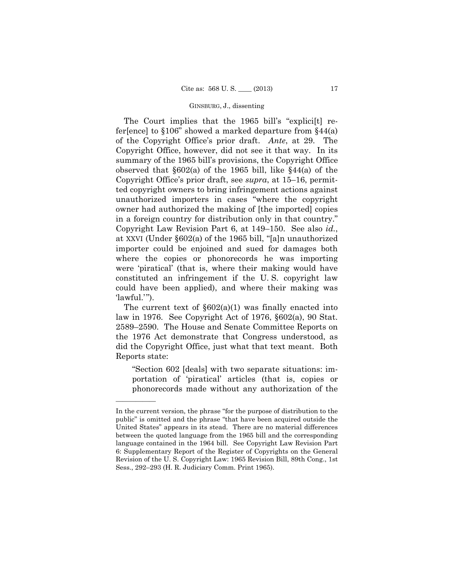The Court implies that the 1965 bill's "explici[t] refer[ence] to §106" showed a marked departure from §44(a) of the Copyright Office's prior draft. *Ante*, at 29. The Copyright Office, however, did not see it that way. In its summary of the 1965 bill's provisions, the Copyright Office observed that §602(a) of the 1965 bill, like §44(a) of the Copyright Office's prior draft, see *supra*, at 15–16, permitted copyright owners to bring infringement actions against unauthorized importers in cases "where the copyright owner had authorized the making of [the imported] copies in a foreign country for distribution only in that country." Copyright Law Revision Part 6, at 149–150. See also *id.*, at XXVI (Under §602(a) of the 1965 bill, "[a]n unauthorized importer could be enjoined and sued for damages both where the copies or phonorecords he was importing were 'piratical' (that is, where their making would have constituted an infringement if the U. S. copyright law could have been applied), and where their making was 'lawful.'").

The current text of  $\S 602(a)(1)$  was finally enacted into law in 1976. See Copyright Act of 1976, §602(a), 90 Stat. 2589–2590. The House and Senate Committee Reports on the 1976 Act demonstrate that Congress understood, as did the Copyright Office, just what that text meant. Both Reports state:

"Section 602 [deals] with two separate situations: importation of 'piratical' articles (that is, copies or phonorecords made without any authorization of the

 language contained in the 1964 bill. See Copyright Law Revision Part In the current version, the phrase "for the purpose of distribution to the public" is omitted and the phrase "that have been acquired outside the United States" appears in its stead. There are no material differences between the quoted language from the 1965 bill and the corresponding 6: Supplementary Report of the Register of Copyrights on the General Revision of the U. S. Copyright Law: 1965 Revision Bill, 89th Cong., 1st Sess., 292–293 (H. R. Judiciary Comm. Print 1965).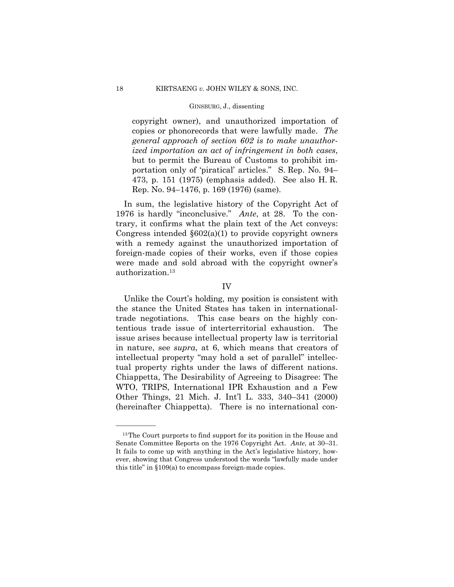copyright owner), and unauthorized importation of copies or phonorecords that were lawfully made. *The general approach of section 602 is to make unauthorized importation an act of infringement in both cases*, but to permit the Bureau of Customs to prohibit importation only of 'piratical' articles." S. Rep. No. 94– 473, p. 151 (1975) (emphasis added). See also H. R. Rep. No. 94–1476, p. 169 (1976) (same).

In sum, the legislative history of the Copyright Act of 1976 is hardly "inconclusive." *Ante*, at 28. To the contrary, it confirms what the plain text of the Act conveys: Congress intended  $\S602(a)(1)$  to provide copyright owners with a remedy against the unauthorized importation of foreign-made copies of their works, even if those copies were made and sold abroad with the copyright owner's authorization.13

# IV

 tual property rights under the laws of different nations. Unlike the Court's holding, my position is consistent with the stance the United States has taken in internationaltrade negotiations. This case bears on the highly contentious trade issue of interterritorial exhaustion. The issue arises because intellectual property law is territorial in nature, see *supra*, at 6, which means that creators of intellectual property "may hold a set of parallel" intellec-Chiappetta, The Desirability of Agreeing to Disagree: The WTO, TRIPS, International IPR Exhaustion and a Few Other Things, 21 Mich. J. Int'l L. 333, 340–341 (2000) (hereinafter Chiappetta). There is no international con

<sup>&</sup>lt;sup>13</sup>The Court purports to find support for its position in the House and Senate Committee Reports on the 1976 Copyright Act. *Ante*, at 30–31. It fails to come up with anything in the Act's legislative history, however, showing that Congress understood the words "lawfully made under this title" in §109(a) to encompass foreign-made copies.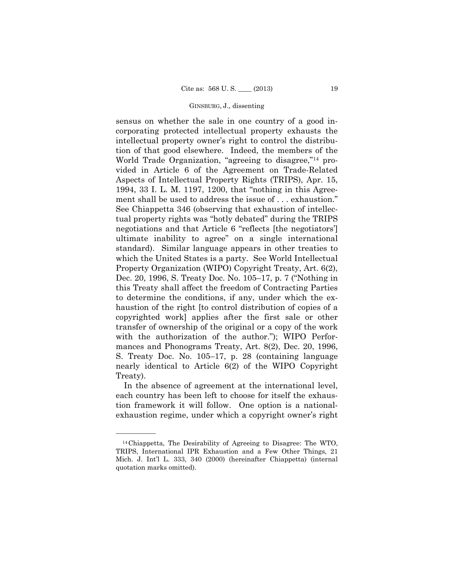sensus on whether the sale in one country of a good incorporating protected intellectual property exhausts the intellectual property owner's right to control the distribution of that good elsewhere. Indeed, the members of the World Trade Organization, "agreeing to disagree,"14 provided in Article 6 of the Agreement on Trade-Related Aspects of Intellectual Property Rights (TRIPS), Apr. 15, 1994, 33 I. L. M. 1197, 1200, that "nothing in this Agreement shall be used to address the issue of . . . exhaustion." See Chiappetta 346 (observing that exhaustion of intellectual property rights was "hotly debated" during the TRIPS negotiations and that Article 6 "reflects [the negotiators'] ultimate inability to agree" on a single international standard). Similar language appears in other treaties to which the United States is a party. See World Intellectual Property Organization (WIPO) Copyright Treaty, Art. 6(2), Dec. 20, 1996, S. Treaty Doc. No. 105–17, p. 7 ("Nothing in this Treaty shall affect the freedom of Contracting Parties to determine the conditions, if any, under which the exhaustion of the right [to control distribution of copies of a copyrighted work] applies after the first sale or other transfer of ownership of the original or a copy of the work with the authorization of the author."); WIPO Performances and Phonograms Treaty, Art. 8(2), Dec. 20, 1996, S. Treaty Doc. No. 105–17, p. 28 (containing language nearly identical to Article 6(2) of the WIPO Copyright Treaty).

In the absence of agreement at the international level, each country has been left to choose for itself the exhaustion framework it will follow. One option is a nationalexhaustion regime, under which a copyright owner's right

<sup>14</sup>Chiappetta, The Desirability of Agreeing to Disagree: The WTO, TRIPS, International IPR Exhaustion and a Few Other Things, 21 Mich. J. Int'l L. 333, 340 (2000) (hereinafter Chiappetta) (internal quotation marks omitted).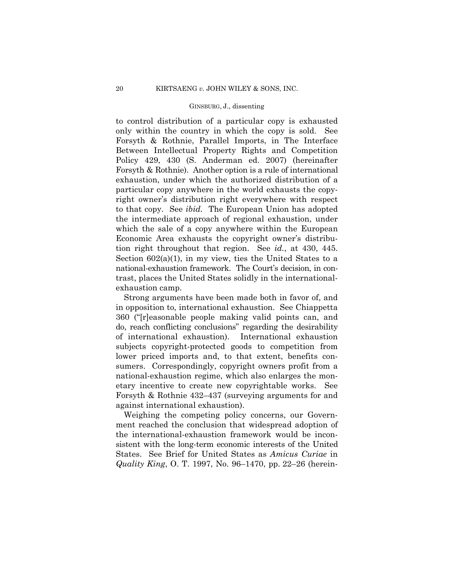tion right throughout that region. See *id.*, at 430, 445. Section 602(a)(1), in my view, ties the United States to a to control distribution of a particular copy is exhausted only within the country in which the copy is sold. See Forsyth & Rothnie, Parallel Imports, in The Interface Between Intellectual Property Rights and Competition Policy 429, 430 (S. Anderman ed. 2007) (hereinafter Forsyth & Rothnie). Another option is a rule of international exhaustion, under which the authorized distribution of a particular copy anywhere in the world exhausts the copyright owner's distribution right everywhere with respect to that copy. See *ibid.* The European Union has adopted the intermediate approach of regional exhaustion, under which the sale of a copy anywhere within the European Economic Area exhausts the copyright owner's distribunational-exhaustion framework. The Court's decision, in contrast, places the United States solidly in the internationalexhaustion camp.

Strong arguments have been made both in favor of, and in opposition to, international exhaustion. See Chiappetta 360 ("[r]easonable people making valid points can, and do, reach conflicting conclusions" regarding the desirability of international exhaustion). International exhaustion subjects copyright-protected goods to competition from lower priced imports and, to that extent, benefits consumers. Correspondingly, copyright owners profit from a national-exhaustion regime, which also enlarges the monetary incentive to create new copyrightable works. See Forsyth & Rothnie 432–437 (surveying arguments for and against international exhaustion).

Weighing the competing policy concerns, our Government reached the conclusion that widespread adoption of the international-exhaustion framework would be inconsistent with the long-term economic interests of the United States. See Brief for United States as *Amicus Curiae* in *Quality King*, O. T. 1997, No. 96–1470, pp. 22–26 (herein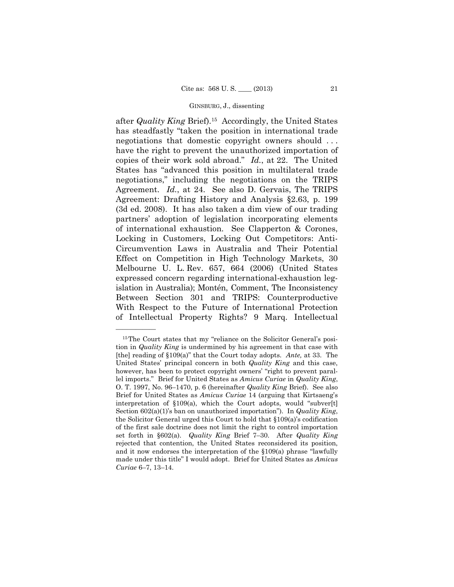after *Quality King* Brief).15 Accordingly, the United States has steadfastly "taken the position in international trade negotiations that domestic copyright owners should ... have the right to prevent the unauthorized importation of copies of their work sold abroad." *Id.*, at 22. The United States has "advanced this position in multilateral trade negotiations," including the negotiations on the TRIPS Agreement. *Id.*, at 24. See also D. Gervais, The TRIPS Agreement: Drafting History and Analysis §2.63, p. 199 (3d ed. 2008). It has also taken a dim view of our trading partners' adoption of legislation incorporating elements of international exhaustion. See Clapperton & Corones, Locking in Customers, Locking Out Competitors: Anti-Circumvention Laws in Australia and Their Potential Effect on Competition in High Technology Markets, 30 Melbourne U. L. Rev. 657, 664 (2006) (United States expressed concern regarding international-exhaustion legislation in Australia); Montén, Comment, The Inconsistency Between Section 301 and TRIPS: Counterproductive With Respect to the Future of International Protection of Intellectual Property Rights? 9 Marq. Intellectual

<sup>15</sup>The Court states that my "reliance on the Solicitor General's position in *Quality King* is undermined by his agreement in that case with [the] reading of §109(a)" that the Court today adopts. *Ante,* at 33. The United States' principal concern in both *Quality King* and this case, however, has been to protect copyright owners' "right to prevent parallel imports." Brief for United States as *Amicus Curiae* in *Quality King*, O. T. 1997, No. 96–1470, p. 6 (hereinafter *Quality King* Brief). See also Brief for United States as *Amicus Curiae* 14 (arguing that Kirtsaeng's interpretation of §109(a), which the Court adopts, would "subver[t] Section 602(a)(1)'s ban on unauthorized importation"). In *Quality King*, the Solicitor General urged this Court to hold that §109(a)'s codification of the first sale doctrine does not limit the right to control importation set forth in §602(a). *Quality King* Brief 7–30. After *Quality King* rejected that contention, the United States reconsidered its position, and it now endorses the interpretation of the §109(a) phrase "lawfully made under this title" I would adopt. Brief for United States as *Amicus Curiae* 6–7, 13–14.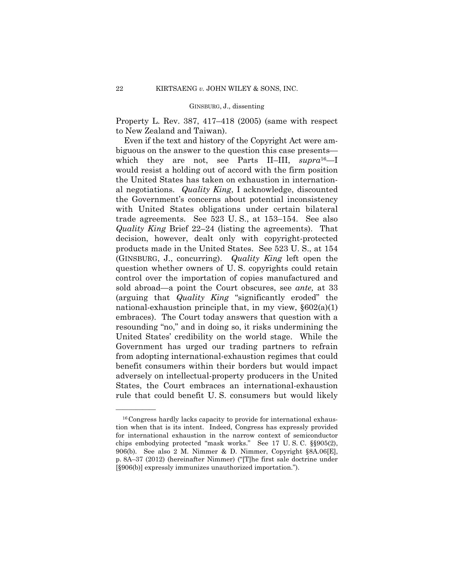Property L. Rev. 387, 417–418 (2005) (same with respect to New Zealand and Taiwan).

 (GINSBURG, J., concurring). *Quality King* left open the Even if the text and history of the Copyright Act were ambiguous on the answer to the question this case presents which they are not, see Parts II–III, *supra*16—I would resist a holding out of accord with the firm position the United States has taken on exhaustion in international negotiations. *Quality King*, I acknowledge, discounted the Government's concerns about potential inconsistency with United States obligations under certain bilateral trade agreements. See 523 U. S., at 153–154. See also *Quality King* Brief 22–24 (listing the agreements). That decision, however, dealt only with copyright-protected products made in the United States. See 523 U. S., at 154 question whether owners of U. S. copyrights could retain control over the importation of copies manufactured and sold abroad—a point the Court obscures, see *ante,* at 33 (arguing that *Quality King* "significantly eroded" the national-exhaustion principle that, in my view,  $\S 602(a)(1)$ embraces). The Court today answers that question with a resounding "no," and in doing so, it risks undermining the United States' credibility on the world stage. While the Government has urged our trading partners to refrain from adopting international-exhaustion regimes that could benefit consumers within their borders but would impact adversely on intellectual-property producers in the United States, the Court embraces an international-exhaustion rule that could benefit U. S. consumers but would likely

<sup>&</sup>lt;sup>16</sup> Congress hardly lacks capacity to provide for international exhaustion when that is its intent. Indeed, Congress has expressly provided for international exhaustion in the narrow context of semiconductor chips embodying protected "mask works." See 17 U. S. C. §§905(2), 906(b). See also 2 M. Nimmer & D. Nimmer, Copyright §8A.06[E], p. 8A–37 (2012) (hereinafter Nimmer) ("[T]he first sale doctrine under [§906(b)] expressly immunizes unauthorized importation.").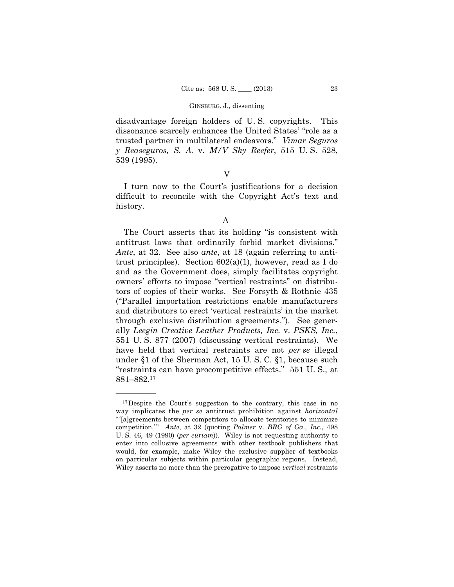disadvantage foreign holders of U. S. copyrights. This dissonance scarcely enhances the United States' "role as a trusted partner in multilateral endeavors." *Vimar Seguros y Reaseguros, S. A.* v. *M/V Sky Reefer*, 515 U. S. 528, 539 (1995).

V

I turn now to the Court's justifications for a decision difficult to reconcile with the Copyright Act's text and history.

A

The Court asserts that its holding "is consistent with antitrust laws that ordinarily forbid market divisions." *Ante*, at 32. See also *ante*, at 18 (again referring to antitrust principles). Section  $602(a)(1)$ , however, read as I do and as the Government does, simply facilitates copyright owners' efforts to impose "vertical restraints" on distributors of copies of their works. See Forsyth & Rothnie 435 ("Parallel importation restrictions enable manufacturers and distributors to erect 'vertical restraints' in the market through exclusive distribution agreements."). See generally *Leegin Creative Leather Products, Inc.* v. *PSKS, Inc.*, 551 U. S. 877 (2007) (discussing vertical restraints). We have held that vertical restraints are not *per se* illegal under §1 of the Sherman Act, 15 U. S. C. §1, because such "restraints can have procompetitive effects." 551 U. S., at 881–882.17

<sup>17</sup>Despite the Court's suggestion to the contrary, this case in no way implicates the *per se* antitrust prohibition against *horizontal*  " '[a]greements between competitors to allocate territories to minimize competition.'" Ante, at 32 (quoting *Palmer* v. *BRG of Ga., Inc.*, 498 U. S. 46, 49 (1990) (*per curiam*)). Wiley is not requesting authority to enter into collusive agreements with other textbook publishers that would, for example, make Wiley the exclusive supplier of textbooks on particular subjects within particular geographic regions. Instead, Wiley asserts no more than the prerogative to impose *vertical* restraints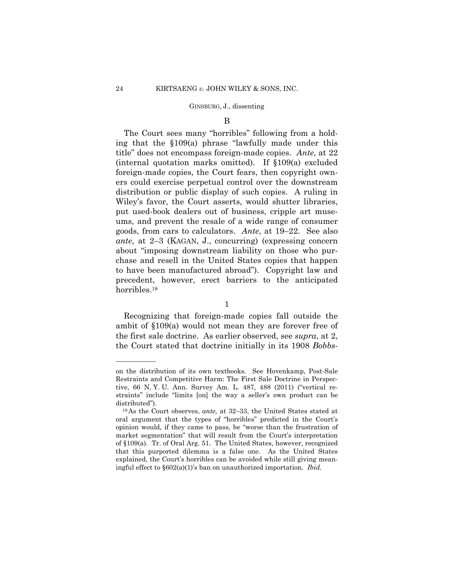## B

 *ante*, at 2–3 (KAGAN, J., concurring) (expressing concern The Court sees many "horribles" following from a holding that the §109(a) phrase "lawfully made under this title" does not encompass foreign-made copies. *Ante*, at 22 (internal quotation marks omitted). If §109(a) excluded foreign-made copies, the Court fears, then copyright owners could exercise perpetual control over the downstream distribution or public display of such copies. A ruling in Wiley's favor, the Court asserts, would shutter libraries, put used-book dealers out of business, cripple art museums, and prevent the resale of a wide range of consumer goods, from cars to calculators. *Ante*, at 19–22. See also about "imposing downstream liability on those who purchase and resell in the United States copies that happen to have been manufactured abroad"). Copyright law and precedent, however, erect barriers to the anticipated horribles.18

1

Recognizing that foreign-made copies fall outside the ambit of §109(a) would not mean they are forever free of the first sale doctrine. As earlier observed, see *supra*, at 2, the Court stated that doctrine initially in its 1908 *Bobbs-*

on the distribution of its own textbooks. See Hovenkamp, Post-Sale Restraints and Competitive Harm: The First Sale Doctrine in Perspective, 66 N. Y. U. Ann. Survey Am. L. 487, 488 (2011) ("vertical restraints" include "limits [on] the way a seller's own product can be distributed"). 18As the Court observes, *ante,* at 32–33, the United States stated at

 ingful effect to §602(a)(1)'s ban on unauthorized importation. *Ibid.* oral argument that the types of "horribles" predicted in the Court's opinion would, if they came to pass, be "worse than the frustration of market segmentation" that will result from the Court's interpretation of §109(a). Tr. of Oral Arg. 51. The United States, however, recognized that this purported dilemma is a false one. As the United States explained, the Court's horribles can be avoided while still giving mean-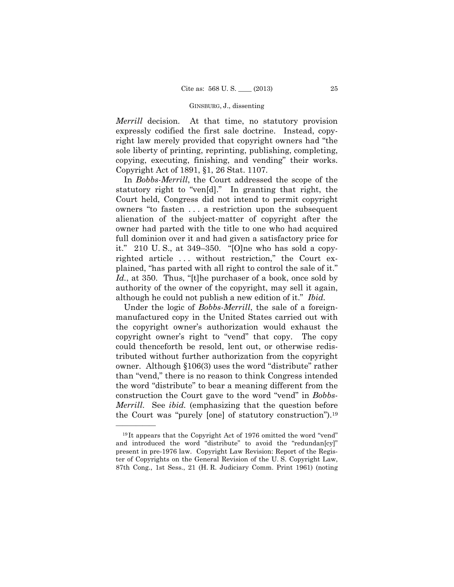copying, executing, finishing, and vending" their works. *Merrill* decision. At that time, no statutory provision expressly codified the first sale doctrine. Instead, copyright law merely provided that copyright owners had "the sole liberty of printing, reprinting, publishing, completing, Copyright Act of 1891, §1, 26 Stat. 1107.

In *Bobbs-Merrill*, the Court addressed the scope of the statutory right to "ven[d]." In granting that right, the Court held, Congress did not intend to permit copyright owners "to fasten . . . a restriction upon the subsequent alienation of the subject-matter of copyright after the owner had parted with the title to one who had acquired full dominion over it and had given a satisfactory price for it." 210 U. S., at 349–350. "[O]ne who has sold a copyrighted article . . . without restriction," the Court explained, "has parted with all right to control the sale of it." *Id.*, at 350. Thus, "[t]he purchaser of a book, once sold by authority of the owner of the copyright, may sell it again, although he could not publish a new edition of it." *Ibid.* 

 the Court was "purely [one] of statutory construction").19 Under the logic of *Bobbs-Merrill*, the sale of a foreignmanufactured copy in the United States carried out with the copyright owner's authorization would exhaust the copyright owner's right to "vend" that copy. The copy could thenceforth be resold, lent out, or otherwise redistributed without further authorization from the copyright owner. Although §106(3) uses the word "distribute" rather than "vend," there is no reason to think Congress intended the word "distribute" to bear a meaning different from the construction the Court gave to the word "vend" in *Bobbs-Merrill*. See *ibid.* (emphasizing that the question before

<sup>19</sup> It appears that the Copyright Act of 1976 omitted the word "vend" and introduced the word "distribute" to avoid the "redundan[cy]" present in pre-1976 law. Copyright Law Revision: Report of the Register of Copyrights on the General Revision of the U. S. Copyright Law, 87th Cong., 1st Sess., 21 (H. R. Judiciary Comm. Print 1961) (noting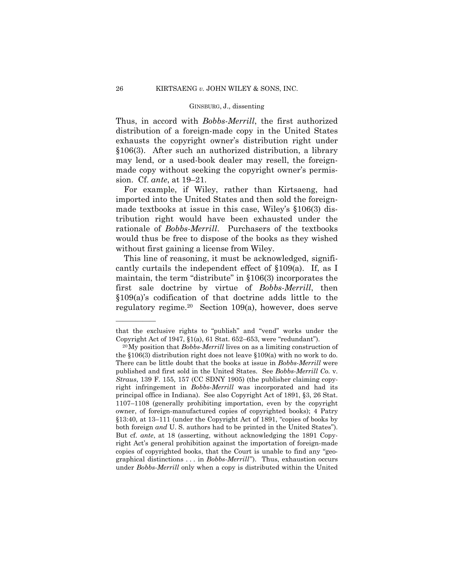Thus, in accord with *Bobbs-Merrill*, the first authorized distribution of a foreign-made copy in the United States exhausts the copyright owner's distribution right under §106(3). After such an authorized distribution, a library may lend, or a used-book dealer may resell, the foreignmade copy without seeking the copyright owner's permission. Cf. *ante*, at 19–21.

For example, if Wiley, rather than Kirtsaeng, had imported into the United States and then sold the foreignmade textbooks at issue in this case, Wiley's §106(3) distribution right would have been exhausted under the rationale of *Bobbs-Merrill*. Purchasers of the textbooks would thus be free to dispose of the books as they wished without first gaining a license from Wiley.

This line of reasoning, it must be acknowledged, significantly curtails the independent effect of §109(a). If, as I maintain, the term "distribute" in §106(3) incorporates the first sale doctrine by virtue of *Bobbs-Merrill*, then §109(a)'s codification of that doctrine adds little to the regulatory regime.20 Section 109(a), however, does serve

that the exclusive rights to "publish" and "vend" works under the Copyright Act of 1947, §1(a), 61 Stat. 652–653, were "redundant"). 20My position that *Bobbs-Merrill* lives on as a limiting construction of

 §13:40, at 13–111 (under the Copyright Act of 1891, "copies of books by the §106(3) distribution right does not leave §109(a) with no work to do. There can be little doubt that the books at issue in *Bobbs-Merrill* were published and first sold in the United States. See *Bobbs-Merrill Co.* v. *Straus*, 139 F. 155, 157 (CC SDNY 1905) (the publisher claiming copyright infringement in *Bobbs-Merrill* was incorporated and had its principal office in Indiana). See also Copyright Act of 1891, §3, 26 Stat. 1107–1108 (generally prohibiting importation, even by the copyright owner, of foreign-manufactured copies of copyrighted books); 4 Patry both foreign *and* U. S. authors had to be printed in the United States"). But cf. *ante*, at 18 (asserting, without acknowledging the 1891 Copyright Act's general prohibition against the importation of foreign-made copies of copyrighted books, that the Court is unable to find any "geographical distinctions . . . in *Bobbs-Merrill*"). Thus, exhaustion occurs under *Bobbs-Merrill* only when a copy is distributed within the United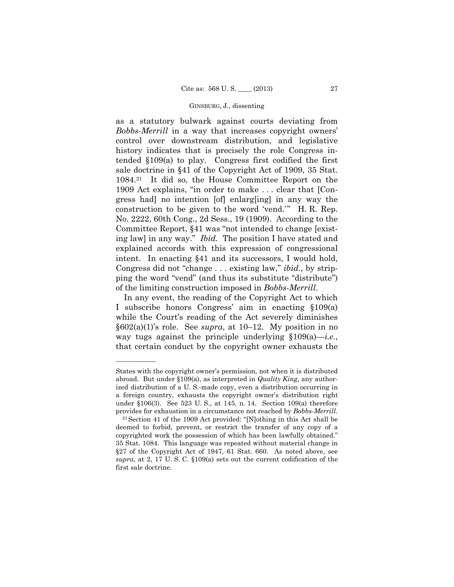as a statutory bulwark against courts deviating from *Bobbs-Merrill* in a way that increases copyright owners' control over downstream distribution, and legislative history indicates that is precisely the role Congress intended §109(a) to play. Congress first codified the first sale doctrine in §41 of the Copyright Act of 1909, 35 Stat. 1084.21 It did so, the House Committee Report on the 1909 Act explains, "in order to make . . . clear that [Congress had] no intention [of] enlarg[ing] in any way the construction to be given to the word 'vend.'" H. R. Rep. No. 2222, 60th Cong., 2d Sess., 19 (1909). According to the Committee Report, §41 was "not intended to change [existing law] in any way." *Ibid.* The position I have stated and explained accords with this expression of congressional intent. In enacting §41 and its successors, I would hold, Congress did not "change . . . existing law," *ibid.*, by stripping the word "vend" (and thus its substitute "distribute") of the limiting construction imposed in *Bobbs-Merrill*.

In any event, the reading of the Copyright Act to which I subscribe honors Congress' aim in enacting §109(a) while the Court's reading of the Act severely diminishes §602(a)(1)'s role. See *supra*, at 10–12. My position in no way tugs against the principle underlying §109(a)—*i.e.*, that certain conduct by the copyright owner exhausts the

States with the copyright owner's permission, not when it is distributed abroad. But under §109(a), as interpreted in *Quality King*, any authorized distribution of a U. S.-made copy, even a distribution occurring in a foreign country, exhausts the copyright owner's distribution right under §106(3). See 523 U. S., at 145, n. 14. Section 109(a) therefore provides for exhaustion in a circumstance not reached by *Bobbs-Merrill*.<br><sup>21</sup> Section 41 of the 1909 Act provided: "[N]othing in this Act shall be

deemed to forbid, prevent, or restrict the transfer of any copy of a copyrighted work the possession of which has been lawfully obtained." 35 Stat. 1084. This language was repeated without material change in §27 of the Copyright Act of 1947, 61 Stat. 660. As noted above, see *supra*, at 2, 17 U. S. C. §109(a) sets out the current codification of the first sale doctrine.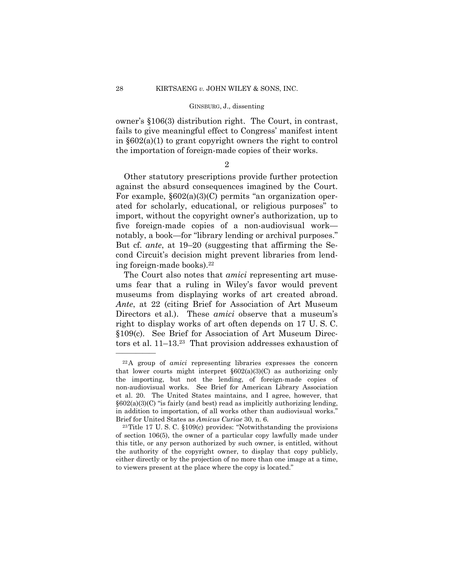owner's §106(3) distribution right. The Court, in contrast, fails to give meaningful effect to Congress' manifest intent in §602(a)(1) to grant copyright owners the right to control the importation of foreign-made copies of their works.

2

 against the absurd consequences imagined by the Court. Other statutory prescriptions provide further protection For example,  $§602(a)(3)(C)$  permits "an organization operated for scholarly, educational, or religious purposes" to import, without the copyright owner's authorization, up to five foreign-made copies of a non-audiovisual work notably, a book—for "library lending or archival purposes." But cf. *ante*, at 19–20 (suggesting that affirming the Second Circuit's decision might prevent libraries from lending foreign-made books).22

 museums from displaying works of art created abroad. The Court also notes that *amici* representing art museums fear that a ruling in Wiley's favor would prevent *Ante*, at 22 (citing Brief for Association of Art Museum Directors et al.). These *amici* observe that a museum's right to display works of art often depends on 17 U. S. C. §109(c). See Brief for Association of Art Museum Directors et al. 11–13.23 That provision addresses exhaustion of

<sup>22</sup>A group of *amici* representing libraries expresses the concern that lower courts might interpret  $\S 602(a)(3)(C)$  as authorizing only the importing, but not the lending, of foreign-made copies of non-audiovisual works. See Brief for American Library Association et al. 20. The United States maintains, and I agree, however, that  $§602(a)(3)(C)$  "is fairly (and best) read as implicitly authorizing lending, in addition to importation, of all works other than audiovisual works."

Brief for United States as *Amicus Curiae* 30, n. 6.<br><sup>23</sup>Title 17 U. S. C. §109(c) provides: "Notwithstanding the provisions of section 106(5), the owner of a particular copy lawfully made under this title, or any person authorized by such owner, is entitled, without the authority of the copyright owner, to display that copy publicly, either directly or by the projection of no more than one image at a time, to viewers present at the place where the copy is located."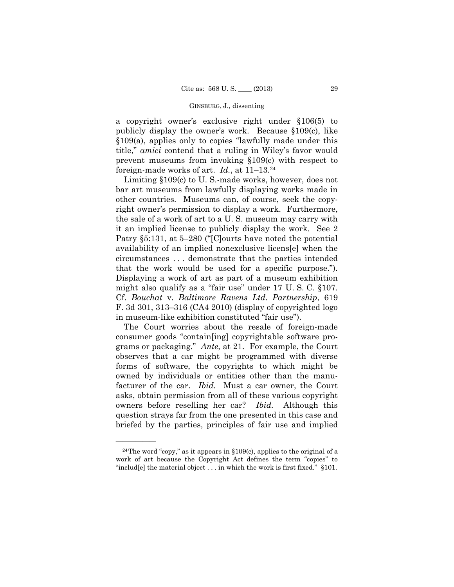a copyright owner's exclusive right under §106(5) to publicly display the owner's work. Because §109(c), like §109(a), applies only to copies "lawfully made under this title," *amici* contend that a ruling in Wiley's favor would prevent museums from invoking §109(c) with respect to foreign-made works of art. *Id.*, at 11–13.24

 that the work would be used for a specific purpose."). Limiting §109(c) to U. S.-made works, however, does not bar art museums from lawfully displaying works made in other countries. Museums can, of course, seek the copyright owner's permission to display a work. Furthermore, the sale of a work of art to a U. S. museum may carry with it an implied license to publicly display the work. See 2 Patry §5:131, at 5–280 ("[C]ourts have noted the potential availability of an implied nonexclusive licens[e] when the circumstances . . . demonstrate that the parties intended Displaying a work of art as part of a museum exhibition might also qualify as a "fair use" under 17 U. S. C. §107. Cf. *Bouchat* v. *Baltimore Ravens Ltd. Partnership*, 619 F. 3d 301, 313–316 (CA4 2010) (display of copyrighted logo in museum-like exhibition constituted "fair use").

 owners before reselling her car? *Ibid.* Although this The Court worries about the resale of foreign-made consumer goods "contain[ing] copyrightable software programs or packaging." *Ante*, at 21. For example, the Court observes that a car might be programmed with diverse forms of software, the copyrights to which might be owned by individuals or entities other than the manufacturer of the car. *Ibid.* Must a car owner, the Court asks, obtain permission from all of these various copyright question strays far from the one presented in this case and briefed by the parties, principles of fair use and implied

<sup>&</sup>lt;sup>24</sup>The word "copy," as it appears in  $§109(c)$ , applies to the original of a work of art because the Copyright Act defines the term "copies" to "includ[e] the material object  $\dots$  in which the work is first fixed." §101.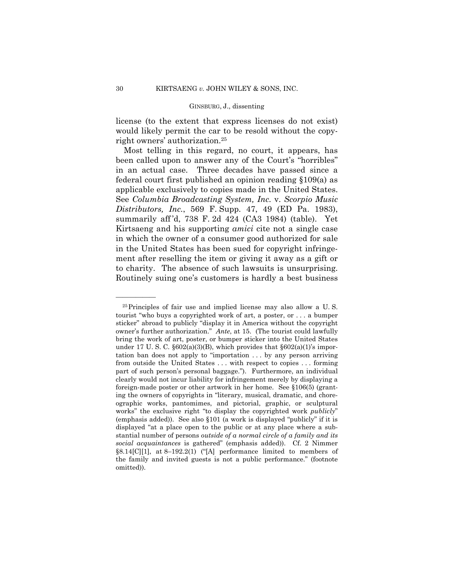license (to the extent that express licenses do not exist) would likely permit the car to be resold without the copyright owners' authorization.25

 applicable exclusively to copies made in the United States. Most telling in this regard, no court, it appears, has been called upon to answer any of the Court's "horribles" in an actual case. Three decades have passed since a federal court first published an opinion reading §109(a) as See *Columbia Broadcasting System, Inc.* v. *Scorpio Music Distributors, Inc.*, 569 F. Supp. 47, 49 (ED Pa. 1983), summarily aff 'd, 738 F. 2d 424 (CA3 1984) (table). Yet Kirtsaeng and his supporting *amici* cite not a single case in which the owner of a consumer good authorized for sale in the United States has been sued for copyright infringement after reselling the item or giving it away as a gift or to charity. The absence of such lawsuits is unsurprising. Routinely suing one's customers is hardly a best business

<sup>25</sup>Principles of fair use and implied license may also allow a U. S. tourist "who buys a copyrighted work of art, a poster, or . . . a bumper sticker" abroad to publicly "display it in America without the copyright owner's further authorization." *Ante*, at 15. (The tourist could lawfully bring the work of art, poster, or bumper sticker into the United States under 17 U. S. C.  $\S 602(a)(3)(B)$ , which provides that  $\S 602(a)(1)$ 's importation ban does not apply to "importation . . . by any person arriving from outside the United States . . . with respect to copies . . . forming part of such person's personal baggage."). Furthermore, an individual clearly would not incur liability for infringement merely by displaying a foreign-made poster or other artwork in her home. See §106(5) (granting the owners of copyrights in "literary, musical, dramatic, and choreographic works, pantomimes, and pictorial, graphic, or sculptural works" the exclusive right "to display the copyrighted work *publicly*" (emphasis added)). See also §101 (a work is displayed "publicly" if it is displayed "at a place open to the public or at any place where a substantial number of persons *outside of a normal circle of a family and its social acquaintances* is gathered" (emphasis added)). Cf. 2 Nimmer §8.14[C][1], at 8–192.2(1) ("[A] performance limited to members of the family and invited guests is not a public performance." (footnote omitted)).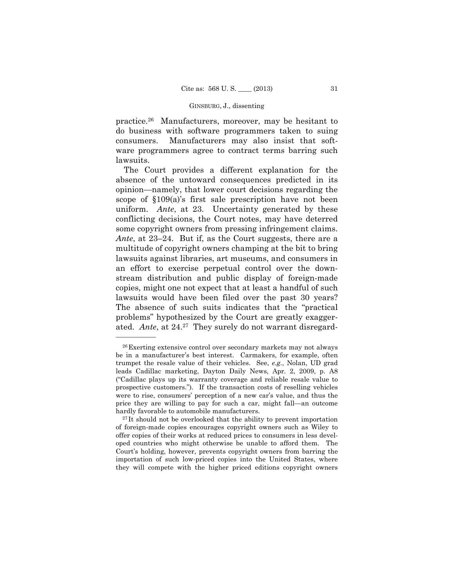practice.26 Manufacturers, moreover, may be hesitant to do business with software programmers taken to suing consumers. Manufacturers may also insist that software programmers agree to contract terms barring such lawsuits.

 some copyright owners from pressing infringement claims. The Court provides a different explanation for the absence of the untoward consequences predicted in its opinion—namely, that lower court decisions regarding the scope of §109(a)'s first sale prescription have not been uniform. *Ante*, at 23. Uncertainty generated by these conflicting decisions, the Court notes, may have deterred *Ante*, at 23–24. But if, as the Court suggests, there are a multitude of copyright owners champing at the bit to bring lawsuits against libraries, art museums, and consumers in an effort to exercise perpetual control over the downstream distribution and public display of foreign-made copies, might one not expect that at least a handful of such lawsuits would have been filed over the past 30 years? The absence of such suits indicates that the "practical problems" hypothesized by the Court are greatly exaggerated. *Ante*, at 24.27 They surely do not warrant disregard

<sup>26</sup>Exerting extensive control over secondary markets may not always be in a manufacturer's best interest. Carmakers, for example, often trumpet the resale value of their vehicles. See, *e.g.*, Nolan, UD grad leads Cadillac marketing, Dayton Daily News, Apr. 2, 2009, p. A8 ("Cadillac plays up its warranty coverage and reliable resale value to prospective customers."). If the transaction costs of reselling vehicles were to rise, consumers' perception of a new car's value, and thus the price they are willing to pay for such a car, might fall—an outcome hardly favorable to automobile manufacturers.<br><sup>27</sup> It should not be overlooked that the ability to prevent importation

of foreign-made copies encourages copyright owners such as Wiley to offer copies of their works at reduced prices to consumers in less developed countries who might otherwise be unable to afford them. The Court's holding, however, prevents copyright owners from barring the importation of such low-priced copies into the United States, where they will compete with the higher priced editions copyright owners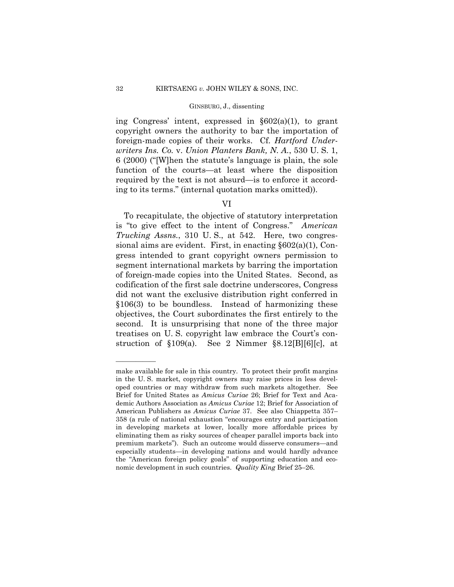## GINSBURG, J., dissenting

ing Congress' intent, expressed in §602(a)(1), to grant copyright owners the authority to bar the importation of foreign-made copies of their works. Cf. *Hartford Underwriters Ins. Co.* v. *Union Planters Bank, N. A.*, 530 U. S. 1, 6 (2000) ("[W]hen the statute's language is plain, the sole function of the courts—at least where the disposition required by the text is not absurd—is to enforce it according to its terms." (internal quotation marks omitted)).

## VI

To recapitulate, the objective of statutory interpretation is "to give effect to the intent of Congress." *American Trucking Assns.*, 310 U. S., at 542. Here, two congressional aims are evident. First, in enacting §602(a)(1), Congress intended to grant copyright owners permission to segment international markets by barring the importation of foreign-made copies into the United States. Second, as codification of the first sale doctrine underscores, Congress did not want the exclusive distribution right conferred in §106(3) to be boundless. Instead of harmonizing these objectives, the Court subordinates the first entirely to the second. It is unsurprising that none of the three major treatises on U. S. copyright law embrace the Court's construction of  $$109(a)$ . See 2 Nimmer  $$8.12[B][6][c]$ , at

——————

make available for sale in this country. To protect their profit margins in the U. S. market, copyright owners may raise prices in less developed countries or may withdraw from such markets altogether. See Brief for United States as *Amicus Curiae* 26; Brief for Text and Academic Authors Association as *Amicus Curiae* 12; Brief for Association of American Publishers as *Amicus Curiae* 37. See also Chiappetta 357– 358 (a rule of national exhaustion "encourages entry and participation in developing markets at lower, locally more affordable prices by eliminating them as risky sources of cheaper parallel imports back into premium markets"). Such an outcome would disserve consumers—and especially students—in developing nations and would hardly advance the "American foreign policy goals" of supporting education and economic development in such countries. *Quality King* Brief 25–26.